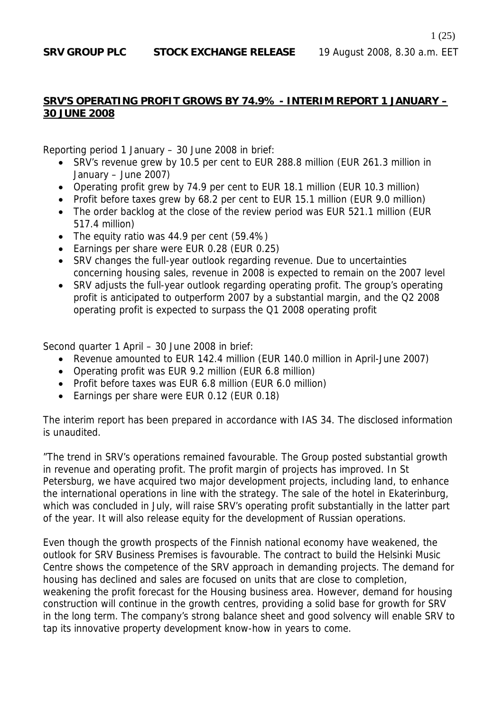#### **SRV'S OPERATING PROFIT GROWS BY 74.9% - INTERIM REPORT 1 JANUARY – 30 JUNE 2008**

Reporting period 1 January – 30 June 2008 in brief:

- SRV's revenue grew by 10.5 per cent to EUR 288.8 million (EUR 261.3 million in January – June 2007)
- Operating profit grew by 74.9 per cent to EUR 18.1 million (EUR 10.3 million)
- Profit before taxes grew by 68.2 per cent to EUR 15.1 million (EUR 9.0 million)
- The order backlog at the close of the review period was EUR 521.1 million (EUR 517.4 million)
- The equity ratio was 44.9 per cent (59.4%)
- Earnings per share were EUR 0.28 (EUR 0.25)
- SRV changes the full-year outlook regarding revenue. Due to uncertainties concerning housing sales, revenue in 2008 is expected to remain on the 2007 level
- SRV adjusts the full-year outlook regarding operating profit. The group's operating profit is anticipated to outperform 2007 by a substantial margin, and the Q2 2008 operating profit is expected to surpass the Q1 2008 operating profit

Second quarter 1 April – 30 June 2008 in brief:

- Revenue amounted to EUR 142.4 million (EUR 140.0 million in April-June 2007)
- Operating profit was EUR 9.2 million (EUR 6.8 million)
- Profit before taxes was EUR 6.8 million (EUR 6.0 million)
- Earnings per share were EUR 0.12 (EUR 0.18)

The interim report has been prepared in accordance with IAS 34. The disclosed information is unaudited.

"The trend in SRV's operations remained favourable. The Group posted substantial growth in revenue and operating profit. The profit margin of projects has improved. In St Petersburg, we have acquired two major development projects, including land, to enhance the international operations in line with the strategy. The sale of the hotel in Ekaterinburg, which was concluded in July, will raise SRV's operating profit substantially in the latter part of the year. It will also release equity for the development of Russian operations.

Even though the growth prospects of the Finnish national economy have weakened, the outlook for SRV Business Premises is favourable. The contract to build the Helsinki Music Centre shows the competence of the SRV approach in demanding projects. The demand for housing has declined and sales are focused on units that are close to completion, weakening the profit forecast for the Housing business area. However, demand for housing construction will continue in the growth centres, providing a solid base for growth for SRV in the long term. The company's strong balance sheet and good solvency will enable SRV to tap its innovative property development know-how in years to come.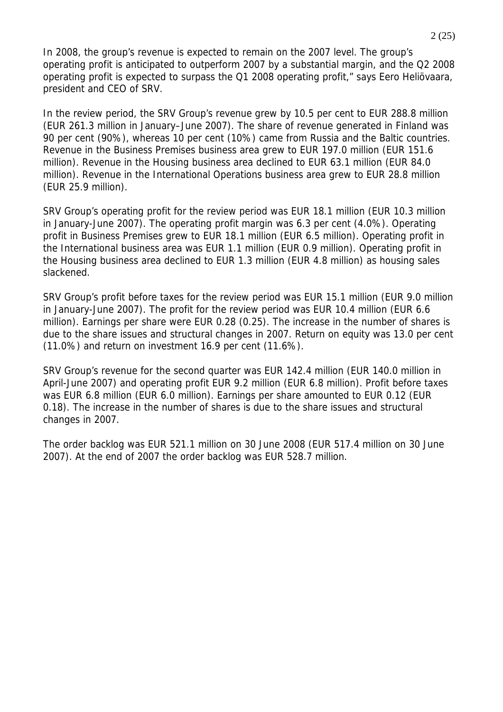In 2008, the group's revenue is expected to remain on the 2007 level. The group's operating profit is anticipated to outperform 2007 by a substantial margin, and the Q2 2008 operating profit is expected to surpass the Q1 2008 operating profit," says Eero Heliövaara, president and CEO of SRV.

In the review period, the SRV Group's revenue grew by 10.5 per cent to EUR 288.8 million (EUR 261.3 million in January–June 2007). The share of revenue generated in Finland was 90 per cent (90%), whereas 10 per cent (10%) came from Russia and the Baltic countries. Revenue in the Business Premises business area grew to EUR 197.0 million (EUR 151.6 million). Revenue in the Housing business area declined to EUR 63.1 million (EUR 84.0 million). Revenue in the International Operations business area grew to EUR 28.8 million (EUR 25.9 million).

SRV Group's operating profit for the review period was EUR 18.1 million (EUR 10.3 million in January-June 2007). The operating profit margin was 6.3 per cent (4.0%). Operating profit in Business Premises grew to EUR 18.1 million (EUR 6.5 million). Operating profit in the International business area was EUR 1.1 million (EUR 0.9 million). Operating profit in the Housing business area declined to EUR 1.3 million (EUR 4.8 million) as housing sales slackened.

SRV Group's profit before taxes for the review period was EUR 15.1 million (EUR 9.0 million in January-June 2007). The profit for the review period was EUR 10.4 million (EUR 6.6 million). Earnings per share were EUR 0.28 (0.25). The increase in the number of shares is due to the share issues and structural changes in 2007. Return on equity was 13.0 per cent (11.0%) and return on investment 16.9 per cent (11.6%).

SRV Group's revenue for the second quarter was EUR 142.4 million (EUR 140.0 million in April-June 2007) and operating profit EUR 9.2 million (EUR 6.8 million). Profit before taxes was EUR 6.8 million (EUR 6.0 million). Earnings per share amounted to EUR 0.12 (EUR 0.18). The increase in the number of shares is due to the share issues and structural changes in 2007.

The order backlog was EUR 521.1 million on 30 June 2008 (EUR 517.4 million on 30 June 2007). At the end of 2007 the order backlog was EUR 528.7 million.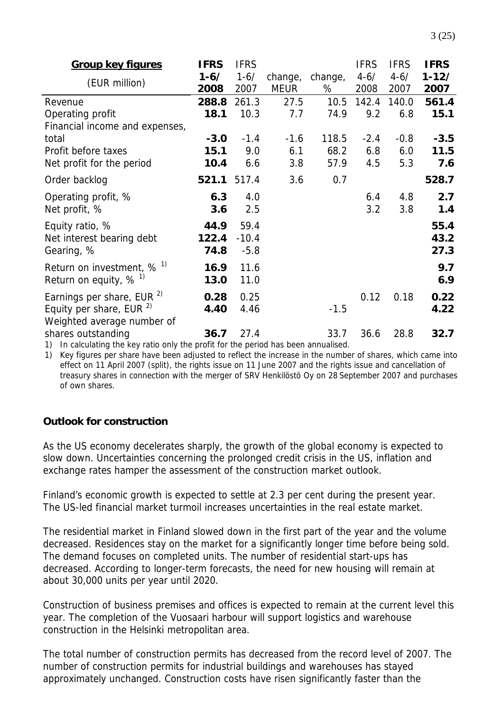| <b>Group key figures</b>                                                                                        | <b>IFRS</b> | <b>IFRS</b> |             |         | <b>IFRS</b> | <b>IFRS</b> | <b>IFRS</b> |
|-----------------------------------------------------------------------------------------------------------------|-------------|-------------|-------------|---------|-------------|-------------|-------------|
| (EUR million)                                                                                                   | $1 - 6/$    | $1 - 6/$    | change,     | change, | $4 - 6/$    | $4 - 6/$    | $1 - 12/$   |
|                                                                                                                 | 2008        | 2007        | <b>MEUR</b> | %       | 2008        | 2007        | 2007        |
| Revenue                                                                                                         | 288.8       | 261.3       | 27.5        | 10.5    | 142.4       | 140.0       | 561.4       |
| Operating profit                                                                                                | 18.1        | 10.3        | 7.7         | 74.9    | 9.2         | 6.8         | 15.1        |
| Financial income and expenses,                                                                                  |             |             |             |         |             |             |             |
| total                                                                                                           | $-3.0$      | $-1.4$      | $-1.6$      | 118.5   | $-2.4$      | $-0.8$      | $-3.5$      |
| Profit before taxes                                                                                             | 15.1        | 9.0         | 6.1         | 68.2    | 6.8         | 6.0         | 11.5        |
| Net profit for the period                                                                                       | 10.4        | 6.6         | 3.8         | 57.9    | 4.5         | 5.3         | 7.6         |
| Order backlog                                                                                                   | 521.1       | 517.4       | 3.6         | 0.7     |             |             | 528.7       |
| Operating profit, %                                                                                             | 6.3         | 4.0         |             |         | 6.4         | 4.8         | 2.7         |
| Net profit, %                                                                                                   | 3.6         | 2.5         |             |         | 3.2         | 3.8         | 1.4         |
| Equity ratio, %                                                                                                 | 44.9        | 59.4        |             |         |             |             | 55.4        |
| Net interest bearing debt                                                                                       | 122.4       | $-10.4$     |             |         |             |             | 43.2        |
| Gearing, %                                                                                                      | 74.8        | $-5.8$      |             |         |             |             | 27.3        |
| Return on investment, $\%$ <sup>1)</sup>                                                                        | 16.9        | 11.6        |             |         |             |             | 9.7         |
| Return on equity, $%$ <sup>1)</sup>                                                                             | 13.0        | 11.0        |             |         |             |             | 6.9         |
| Earnings per share, EUR <sup>2)</sup>                                                                           | 0.28        | 0.25        |             |         | 0.12        | 0.18        | 0.22        |
| Equity per share, EUR <sup>2)</sup>                                                                             | 4.40        | 4.46        |             | $-1.5$  |             |             | 4.22        |
| Weighted average number of                                                                                      |             |             |             |         |             |             |             |
| shares outstanding                                                                                              | 36.7        | 27.4        |             | 33.7    | 36.6        | 28.8        | 32.7        |
| the contract of the contract of the contract of the contract of the contract of the contract of the contract of |             |             |             |         |             |             |             |

1) In calculating the key ratio only the profit for the period has been annualised.

1) Key figures per share have been adjusted to reflect the increase in the number of shares, which came into effect on 11 April 2007 (split), the rights issue on 11 June 2007 and the rights issue and cancellation of treasury shares in connection with the merger of SRV Henkilöstö Oy on 28 September 2007 and purchases of own shares.

### **Outlook for construction**

As the US economy decelerates sharply, the growth of the global economy is expected to slow down. Uncertainties concerning the prolonged credit crisis in the US, inflation and exchange rates hamper the assessment of the construction market outlook.

Finland's economic growth is expected to settle at 2.3 per cent during the present year. The US-led financial market turmoil increases uncertainties in the real estate market.

The residential market in Finland slowed down in the first part of the year and the volume decreased. Residences stay on the market for a significantly longer time before being sold. The demand focuses on completed units. The number of residential start-ups has decreased. According to longer-term forecasts, the need for new housing will remain at about 30,000 units per year until 2020.

Construction of business premises and offices is expected to remain at the current level this year. The completion of the Vuosaari harbour will support logistics and warehouse construction in the Helsinki metropolitan area.

The total number of construction permits has decreased from the record level of 2007. The number of construction permits for industrial buildings and warehouses has stayed approximately unchanged. Construction costs have risen significantly faster than the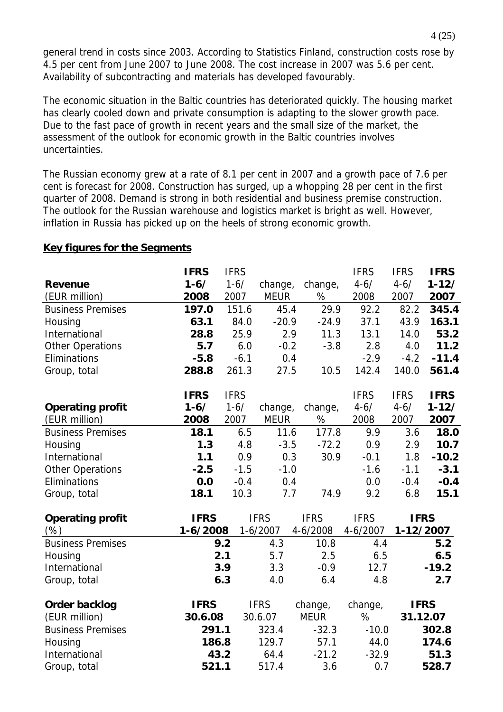general trend in costs since 2003. According to Statistics Finland, construction costs rose by 4.5 per cent from June 2007 to June 2008. The cost increase in 2007 was 5.6 per cent. Availability of subcontracting and materials has developed favourably.

The economic situation in the Baltic countries has deteriorated quickly. The housing market has clearly cooled down and private consumption is adapting to the slower growth pace. Due to the fast pace of growth in recent years and the small size of the market, the assessment of the outlook for economic growth in the Baltic countries involves uncertainties.

The Russian economy grew at a rate of 8.1 per cent in 2007 and a growth pace of 7.6 per cent is forecast for 2008. Construction has surged, up a whopping 28 per cent in the first quarter of 2008. Demand is strong in both residential and business premise construction. The outlook for the Russian warehouse and logistics market is bright as well. However, inflation in Russia has picked up on the heels of strong economic growth.

|                          | <b>IFRS</b> | <b>IFRS</b> |             |             | <b>IFRS</b> | <b>IFRS</b> | <b>IFRS</b> |
|--------------------------|-------------|-------------|-------------|-------------|-------------|-------------|-------------|
| <b>Revenue</b>           | $1 - 6/$    | $1 - 6/$    | change,     | change,     | $4 - 6/$    | $4 - 6/$    | $1 - 12/$   |
| (EUR million)            | 2008        | 2007        | <b>MEUR</b> | %           | 2008        | 2007        | 2007        |
| <b>Business Premises</b> | 197.0       | 151.6       | 45.4        | 29.9        | 92.2        | 82.2        | 345.4       |
| Housing                  | 63.1        | 84.0        | $-20.9$     | $-24.9$     | 37.1        | 43.9        | 163.1       |
| International            | 28.8        | 25.9        | 2.9         | 11.3        | 13.1        | 14.0        | 53.2        |
| <b>Other Operations</b>  | 5.7         | 6.0         | $-0.2$      | $-3.8$      | 2.8         | 4.0         | 11.2        |
| Eliminations             | $-5.8$      | $-6.1$      | 0.4         |             | $-2.9$      | $-4.2$      | $-11.4$     |
| Group, total             | 288.8       | 261.3       | 27.5        | 10.5        | 142.4       | 140.0       | 561.4       |
|                          | <b>IFRS</b> | <b>IFRS</b> |             |             | <b>IFRS</b> | <b>IFRS</b> | <b>IFRS</b> |
| <b>Operating profit</b>  | $1 - 6/$    | $1 - 6/$    | change,     | change,     | $4 - 6/$    | $4 - 6/$    | $1 - 12/$   |
| (EUR million)            | 2008        | 2007        | <b>MEUR</b> | $\%$        | 2008        | 2007        | 2007        |
| <b>Business Premises</b> | 18.1        | 6.5         | 11.6        | 177.8       | 9.9         | 3.6         | 18.0        |
| Housing                  | 1.3         | 4.8         | $-3.5$      | $-72.2$     | 0.9         | 2.9         | 10.7        |
| International            | 1.1         | 0.9         | 0.3         | 30.9        | $-0.1$      | 1.8         | $-10.2$     |
| <b>Other Operations</b>  | $-2.5$      | $-1.5$      | $-1.0$      |             | $-1.6$      | $-1.1$      | $-3.1$      |
| Eliminations             | 0.0         | $-0.4$      | 0.4         |             | 0.0         | $-0.4$      | $-0.4$      |
| Group, total             | 18.1        | 10.3        | 7.7         | 74.9        | 9.2         | 6.8         | 15.1        |
| <b>Operating profit</b>  | <b>IFRS</b> |             | <b>IFRS</b> | <b>IFRS</b> | <b>IFRS</b> | <b>IFRS</b> |             |
| (%)                      | $1-6/2008$  |             | $1-6/2007$  | 4-6/2008    | 4-6/2007    | 1-12/2007   |             |
| <b>Business Premises</b> |             | 9.2         | 4.3         | 10.8        | 4.4         |             | 5.2         |
| Housing                  |             | 2.1         | 5.7         | 2.5         | 6.5         |             | 6.5         |
| International            |             | 3.9         | 3.3         | $-0.9$      | 12.7        |             | $-19.2$     |
| Group, total             |             | 6.3         | 4.0         | 6.4         | 4.8         |             | 2.7         |
| Order backlog            | <b>IFRS</b> |             | <b>IFRS</b> | change,     | change,     |             | <b>IFRS</b> |
| (EUR million)            | 30.6.08     |             | 30.6.07     | <b>MEUR</b> | $\%$        |             | 31.12.07    |
| <b>Business Premises</b> | 291.1       |             | 323.4       | $-32.3$     | $-10.0$     |             | 302.8       |
| Housing                  | 186.8       |             | 129.7       | 57.1        | 44.0        |             | 174.6       |
| International            | 43.2        |             | 64.4        | $-21.2$     | $-32.9$     |             | 51.3        |
| Group, total             | 521.1       |             | 517.4       | 3.6         | 0.7         |             | 528.7       |

#### **Key figures for the Segments**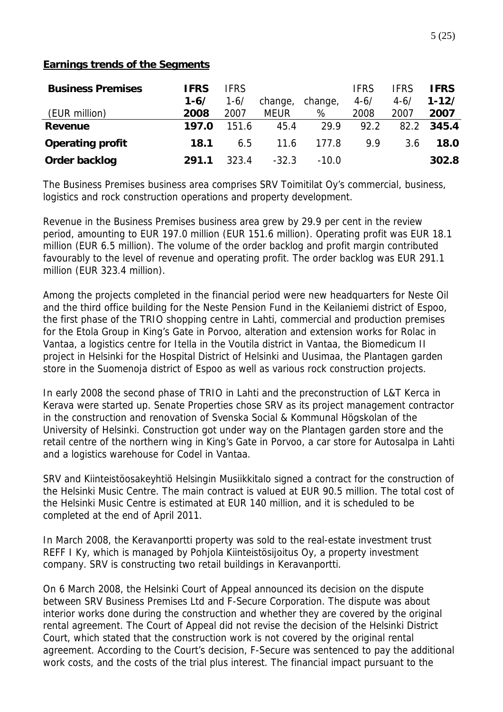#### **Earnings trends of the Segments**

| <b>Business Premises</b> | <b>IFRS</b> | <b>IFRS</b> |             |         | <b>IFRS</b> | <b>IFRS</b> | <b>IFRS</b> |
|--------------------------|-------------|-------------|-------------|---------|-------------|-------------|-------------|
|                          | $1 - 6/$    | $1 - 6/$    | change,     | change, | $4 - 6/$    | $4 - 6/$    | $1 - 12/$   |
| (EUR million)            | 2008        | 2007        | <b>MEUR</b> | %       | 2008        | 2007        | 2007        |
| Revenue                  | 197.0       | 151.6       | 45.4        | 29.9    | 92.2        | 82.2        | 345.4       |
| <b>Operating profit</b>  | 18.1        | 6.5         | 11.6        | 177.8   | 9.9         | 3.6         | <b>18.0</b> |
| Order backlog            | 291.1       | 323.4       | $-32.3$     | $-10.0$ |             |             | 302.8       |

The Business Premises business area comprises SRV Toimitilat Oy's commercial, business, logistics and rock construction operations and property development.

Revenue in the Business Premises business area grew by 29.9 per cent in the review period, amounting to EUR 197.0 million (EUR 151.6 million). Operating profit was EUR 18.1 million (EUR 6.5 million). The volume of the order backlog and profit margin contributed favourably to the level of revenue and operating profit. The order backlog was EUR 291.1 million (EUR 323.4 million).

Among the projects completed in the financial period were new headquarters for Neste Oil and the third office building for the Neste Pension Fund in the Keilaniemi district of Espoo, the first phase of the TRIO shopping centre in Lahti, commercial and production premises for the Etola Group in King's Gate in Porvoo, alteration and extension works for Rolac in Vantaa, a logistics centre for Itella in the Voutila district in Vantaa, the Biomedicum II project in Helsinki for the Hospital District of Helsinki and Uusimaa, the Plantagen garden store in the Suomenoja district of Espoo as well as various rock construction projects.

In early 2008 the second phase of TRIO in Lahti and the preconstruction of L&T Kerca in Kerava were started up. Senate Properties chose SRV as its project management contractor in the construction and renovation of Svenska Social & Kommunal Högskolan of the University of Helsinki. Construction got under way on the Plantagen garden store and the retail centre of the northern wing in King's Gate in Porvoo, a car store for Autosalpa in Lahti and a logistics warehouse for Codel in Vantaa.

SRV and Kiinteistöosakeyhtiö Helsingin Musiikkitalo signed a contract for the construction of the Helsinki Music Centre. The main contract is valued at EUR 90.5 million. The total cost of the Helsinki Music Centre is estimated at EUR 140 million, and it is scheduled to be completed at the end of April 2011.

In March 2008, the Keravanportti property was sold to the real-estate investment trust REFF I Ky, which is managed by Pohjola Kiinteistösijoitus Oy, a property investment company. SRV is constructing two retail buildings in Keravanportti.

On 6 March 2008, the Helsinki Court of Appeal announced its decision on the dispute between SRV Business Premises Ltd and F-Secure Corporation. The dispute was about interior works done during the construction and whether they are covered by the original rental agreement. The Court of Appeal did not revise the decision of the Helsinki District Court, which stated that the construction work is not covered by the original rental agreement. According to the Court's decision, F-Secure was sentenced to pay the additional work costs, and the costs of the trial plus interest. The financial impact pursuant to the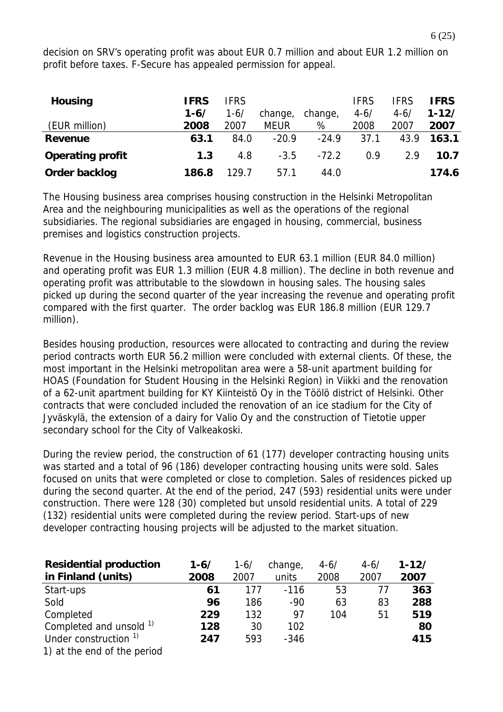decision on SRV's operating profit was about EUR 0.7 million and about EUR 1.2 million on profit before taxes. F-Secure has appealed permission for appeal.

| <b>Housing</b>          | <b>IFRS</b> | <b>IFRS</b> |             |         | <b>IFRS</b> | <b>IFRS</b> | <b>IFRS</b> |
|-------------------------|-------------|-------------|-------------|---------|-------------|-------------|-------------|
|                         | $1 - 6/$    | $1 - 6/$    | change,     | change, | $4 - 6/$    | $4 - 6/$    | $1 - 12/$   |
| (EUR million)           | 2008        | 2007        | <b>MEUR</b> | %       | 2008        | 2007        | 2007        |
| Revenue                 | 63.1        | 84.0        | $-20.9$     | $-24.9$ | 37.1        | 43.9        | 163.1       |
| <b>Operating profit</b> | 1.3         | 4.8         | $-3.5$      | $-72.2$ | 0.9         | 2.9         | 10.7        |
| Order backlog           | 186.8       | 129.7       | 57.1        | 44.0    |             |             | 174.6       |

The Housing business area comprises housing construction in the Helsinki Metropolitan Area and the neighbouring municipalities as well as the operations of the regional subsidiaries. The regional subsidiaries are engaged in housing, commercial, business premises and logistics construction projects.

Revenue in the Housing business area amounted to EUR 63.1 million (EUR 84.0 million) and operating profit was EUR 1.3 million (EUR 4.8 million). The decline in both revenue and operating profit was attributable to the slowdown in housing sales. The housing sales picked up during the second quarter of the year increasing the revenue and operating profit compared with the first quarter. The order backlog was EUR 186.8 million (EUR 129.7 million).

Besides housing production, resources were allocated to contracting and during the review period contracts worth EUR 56.2 million were concluded with external clients. Of these, the most important in the Helsinki metropolitan area were a 58-unit apartment building for HOAS (Foundation for Student Housing in the Helsinki Region) in Viikki and the renovation of a 62-unit apartment building for KY Kiinteistö Oy in the Töölö district of Helsinki. Other contracts that were concluded included the renovation of an ice stadium for the City of Jyväskylä, the extension of a dairy for Valio Oy and the construction of Tietotie upper secondary school for the City of Valkeakoski.

During the review period, the construction of 61 (177) developer contracting housing units was started and a total of 96 (186) developer contracting housing units were sold. Sales focused on units that were completed or close to completion. Sales of residences picked up during the second quarter. At the end of the period, 247 (593) residential units were under construction. There were 128 (30) completed but unsold residential units. A total of 229 (132) residential units were completed during the review period. Start-ups of new developer contracting housing projects will be adjusted to the market situation.

| <b>Residential production</b>      | $1 - 6/$ | $1 - 6/$ | change, | $4 - 6/$ | $4 - 6/$ | $1 - 12/$ |
|------------------------------------|----------|----------|---------|----------|----------|-----------|
| in Finland (units)                 | 2008     | 2007     | units   | 2008     | 2007     | 2007      |
| Start-ups                          | 61       | 177      | $-116$  | 53       | 77       | 363       |
| Sold                               | 96       | 186      | $-90$   | 63       | 83       | 288       |
| Completed                          | 229      | 132      | 97      | 104      | 51       | 519       |
| Completed and unsold <sup>1)</sup> | 128      | 30       | 102     |          |          | 80        |
| Under construction <sup>1)</sup>   | 247      | 593      | $-346$  |          |          | 415       |
| 1) at the end of the period        |          |          |         |          |          |           |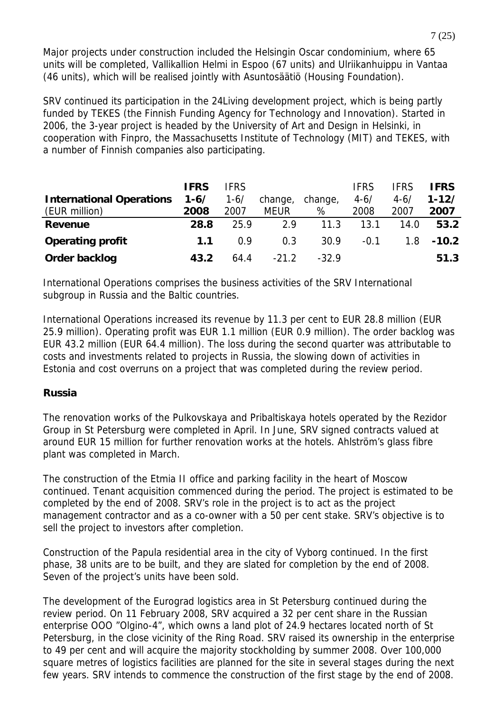Major projects under construction included the Helsingin Oscar condominium, where 65 units will be completed, Vallikallion Helmi in Espoo (67 units) and Ulriikanhuippu in Vantaa (46 units), which will be realised jointly with Asuntosäätiö (Housing Foundation).

SRV continued its participation in the 24Living development project, which is being partly funded by TEKES (the Finnish Funding Agency for Technology and Innovation). Started in 2006, the 3-year project is headed by the University of Art and Design in Helsinki, in cooperation with Finpro, the Massachusetts Institute of Technology (MIT) and TEKES, with a number of Finnish companies also participating.

|                                 | <b>IFRS</b> | <b>IFRS</b> |             |         | <b>IFRS</b> | <b>IFRS</b> | <b>IFRS</b> |
|---------------------------------|-------------|-------------|-------------|---------|-------------|-------------|-------------|
| <b>International Operations</b> | $1 - 6/$    | $1 - 6/$    | change,     | change, | $4 - 6/$    | $4 - 6/$    | $1 - 12/$   |
| (EUR million)                   | 2008        | 2007        | <b>MEUR</b> | %       | 2008        | 2007        | 2007        |
| <b>Revenue</b>                  | 28.8        | 25.9        | 2.9         | 11.3    | 13.1        | 14.0        | 53.2        |
| <b>Operating profit</b>         | 1.1         | 0.9         | 0.3         | 30.9    | $-0.1$      | 1.8         | $-10.2$     |
| Order backlog                   | 43.2        | 64.4        | $-21.2$     | $-329$  |             |             | 51.3        |

International Operations comprises the business activities of the SRV International subgroup in Russia and the Baltic countries.

International Operations increased its revenue by 11.3 per cent to EUR 28.8 million (EUR 25.9 million). Operating profit was EUR 1.1 million (EUR 0.9 million). The order backlog was EUR 43.2 million (EUR 64.4 million). The loss during the second quarter was attributable to costs and investments related to projects in Russia, the slowing down of activities in Estonia and cost overruns on a project that was completed during the review period.

### **Russia**

The renovation works of the Pulkovskaya and Pribaltiskaya hotels operated by the Rezidor Group in St Petersburg were completed in April. In June, SRV signed contracts valued at around EUR 15 million for further renovation works at the hotels. Ahlström's glass fibre plant was completed in March.

The construction of the Etmia II office and parking facility in the heart of Moscow continued. Tenant acquisition commenced during the period. The project is estimated to be completed by the end of 2008. SRV's role in the project is to act as the project management contractor and as a co-owner with a 50 per cent stake. SRV's objective is to sell the project to investors after completion.

Construction of the Papula residential area in the city of Vyborg continued. In the first phase, 38 units are to be built, and they are slated for completion by the end of 2008. Seven of the project's units have been sold.

The development of the Eurograd logistics area in St Petersburg continued during the review period. On 11 February 2008, SRV acquired a 32 per cent share in the Russian enterprise OOO "Olgino-4", which owns a land plot of 24.9 hectares located north of St Petersburg, in the close vicinity of the Ring Road. SRV raised its ownership in the enterprise to 49 per cent and will acquire the majority stockholding by summer 2008. Over 100,000 square metres of logistics facilities are planned for the site in several stages during the next few years. SRV intends to commence the construction of the first stage by the end of 2008.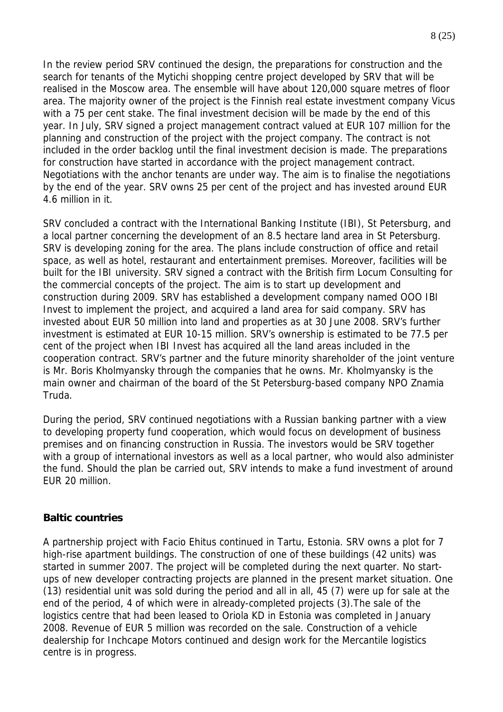In the review period SRV continued the design, the preparations for construction and the search for tenants of the Mytichi shopping centre project developed by SRV that will be realised in the Moscow area. The ensemble will have about 120,000 square metres of floor area. The majority owner of the project is the Finnish real estate investment company Vicus with a 75 per cent stake. The final investment decision will be made by the end of this year. In July, SRV signed a project management contract valued at EUR 107 million for the planning and construction of the project with the project company. The contract is not included in the order backlog until the final investment decision is made. The preparations for construction have started in accordance with the project management contract. Negotiations with the anchor tenants are under way. The aim is to finalise the negotiations by the end of the year. SRV owns 25 per cent of the project and has invested around EUR 4.6 million in it.

SRV concluded a contract with the International Banking Institute (IBI), St Petersburg, and a local partner concerning the development of an 8.5 hectare land area in St Petersburg. SRV is developing zoning for the area. The plans include construction of office and retail space, as well as hotel, restaurant and entertainment premises. Moreover, facilities will be built for the IBI university. SRV signed a contract with the British firm Locum Consulting for the commercial concepts of the project. The aim is to start up development and construction during 2009. SRV has established a development company named OOO IBI Invest to implement the project, and acquired a land area for said company. SRV has invested about EUR 50 million into land and properties as at 30 June 2008. SRV's further investment is estimated at EUR 10-15 million. SRV's ownership is estimated to be 77.5 per cent of the project when IBI Invest has acquired all the land areas included in the cooperation contract. SRV's partner and the future minority shareholder of the joint venture is Mr. Boris Kholmyansky through the companies that he owns. Mr. Kholmyansky is the main owner and chairman of the board of the St Petersburg-based company NPO Znamia Truda.

During the period, SRV continued negotiations with a Russian banking partner with a view to developing property fund cooperation, which would focus on development of business premises and on financing construction in Russia. The investors would be SRV together with a group of international investors as well as a local partner, who would also administer the fund. Should the plan be carried out, SRV intends to make a fund investment of around EUR 20 million.

#### **Baltic countries**

A partnership project with Facio Ehitus continued in Tartu, Estonia. SRV owns a plot for 7 high-rise apartment buildings. The construction of one of these buildings (42 units) was started in summer 2007. The project will be completed during the next quarter. No startups of new developer contracting projects are planned in the present market situation. One (13) residential unit was sold during the period and all in all, 45 (7) were up for sale at the end of the period, 4 of which were in already-completed projects (3).The sale of the logistics centre that had been leased to Oriola KD in Estonia was completed in January 2008. Revenue of EUR 5 million was recorded on the sale. Construction of a vehicle dealership for Inchcape Motors continued and design work for the Mercantile logistics centre is in progress.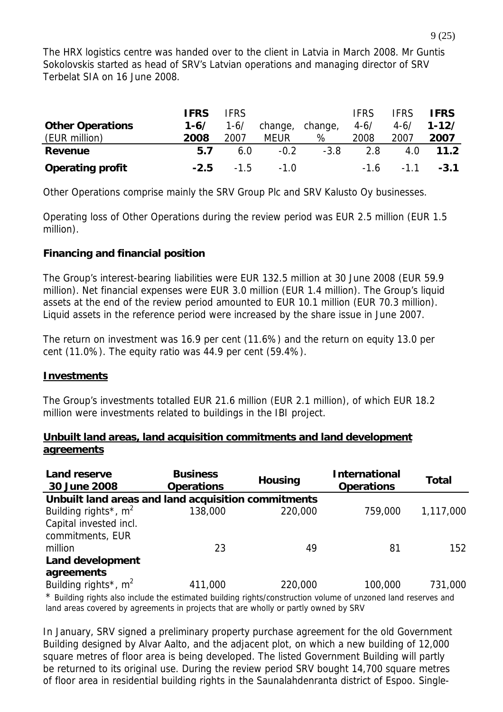The HRX logistics centre was handed over to the client in Latvia in March 2008. Mr Guntis Sokolovskis started as head of SRV's Latvian operations and managing director of SRV Terbelat SIA on 16 June 2008.

|                         | <b>IFRS</b> | <b>IFRS</b> |                      |         | <b>IFRS</b> | <b>IFRS</b>          | <b>IFRS</b> |
|-------------------------|-------------|-------------|----------------------|---------|-------------|----------------------|-------------|
| <b>Other Operations</b> | $1 - 6/$    | $1 - 6/$    | change,              | change, | $4 - 6/$    | $4 - 6/$             | $1 - 12/$   |
| (EUR million)           | 2008        | 2007        | <b>MEUR</b>          | %       | 2008        | 2007                 | 2007        |
| Revenue                 | 5.7         | 6.0         | $-0.2$               | $-3.8$  | 2.8         | 4.0                  | 11.2        |
| <b>Operating profit</b> |             |             | $-2.5$ $-1.5$ $-1.0$ |         |             | $-1.6$ $-1.1$ $-3.1$ |             |

Other Operations comprise mainly the SRV Group Plc and SRV Kalusto Oy businesses.

Operating loss of Other Operations during the review period was EUR 2.5 million (EUR 1.5 million).

### **Financing and financial position**

The Group's interest-bearing liabilities were EUR 132.5 million at 30 June 2008 (EUR 59.9 million). Net financial expenses were EUR 3.0 million (EUR 1.4 million). The Group's liquid assets at the end of the review period amounted to EUR 10.1 million (EUR 70.3 million). Liquid assets in the reference period were increased by the share issue in June 2007.

The return on investment was 16.9 per cent (11.6%) and the return on equity 13.0 per cent (11.0%). The equity ratio was 44.9 per cent (59.4%).

### **Investments**

The Group's investments totalled EUR 21.6 million (EUR 2.1 million), of which EUR 18.2 million were investments related to buildings in the IBI project.

### **Unbuilt land areas, land acquisition commitments and land development agreements**

| Land reserve<br>30 June 2008                                                                                      | <b>Business</b><br><b>Operations</b> | <b>Housing</b> | <b>International</b><br><b>Operations</b> |           |  |  |  |  |  |  |
|-------------------------------------------------------------------------------------------------------------------|--------------------------------------|----------------|-------------------------------------------|-----------|--|--|--|--|--|--|
| Unbuilt land areas and land acquisition commitments                                                               |                                      |                |                                           |           |  |  |  |  |  |  |
| Building rights <sup>*</sup> , $m2$                                                                               | 138,000                              | 220,000        | 759,000                                   | 1,117,000 |  |  |  |  |  |  |
| Capital invested incl.                                                                                            |                                      |                |                                           |           |  |  |  |  |  |  |
| commitments, EUR                                                                                                  |                                      |                |                                           |           |  |  |  |  |  |  |
| million                                                                                                           | 23                                   | 49             | 81                                        | 152       |  |  |  |  |  |  |
| <b>Land development</b>                                                                                           |                                      |                |                                           |           |  |  |  |  |  |  |
| agreements                                                                                                        |                                      |                |                                           |           |  |  |  |  |  |  |
| Building rights <sup>*</sup> , $m^2$                                                                              | 411,000                              | 220,000        | 100,000                                   | 731,000   |  |  |  |  |  |  |
| $*$ Puilding rights also include the estimated building rights (separtuation volume of unzeried land reserves and |                                      |                |                                           |           |  |  |  |  |  |  |

Building rights also include the estimated building rights/construction volume of unzoned land reserves and land areas covered by agreements in projects that are wholly or partly owned by SRV

In January, SRV signed a preliminary property purchase agreement for the old Government Building designed by Alvar Aalto, and the adjacent plot, on which a new building of 12,000 square metres of floor area is being developed. The listed Government Building will partly be returned to its original use. During the review period SRV bought 14,700 square metres of floor area in residential building rights in the Saunalahdenranta district of Espoo. Single-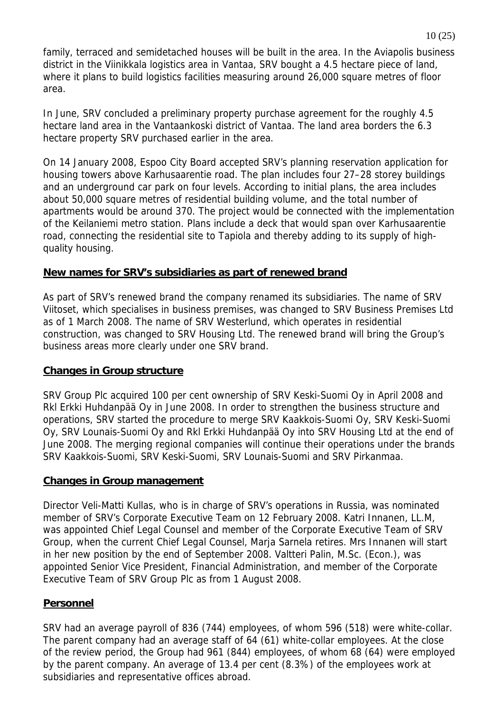family, terraced and semidetached houses will be built in the area. In the Aviapolis business district in the Viinikkala logistics area in Vantaa, SRV bought a 4.5 hectare piece of land, where it plans to build logistics facilities measuring around 26,000 square metres of floor area.

In June, SRV concluded a preliminary property purchase agreement for the roughly 4.5 hectare land area in the Vantaankoski district of Vantaa. The land area borders the 6.3 hectare property SRV purchased earlier in the area.

On 14 January 2008, Espoo City Board accepted SRV's planning reservation application for housing towers above Karhusaarentie road. The plan includes four 27–28 storey buildings and an underground car park on four levels. According to initial plans, the area includes about 50,000 square metres of residential building volume, and the total number of apartments would be around 370. The project would be connected with the implementation of the Keilaniemi metro station. Plans include a deck that would span over Karhusaarentie road, connecting the residential site to Tapiola and thereby adding to its supply of highquality housing.

### **New names for SRV's subsidiaries as part of renewed brand**

As part of SRV's renewed brand the company renamed its subsidiaries. The name of SRV Viitoset, which specialises in business premises, was changed to SRV Business Premises Ltd as of 1 March 2008. The name of SRV Westerlund, which operates in residential construction, was changed to SRV Housing Ltd. The renewed brand will bring the Group's business areas more clearly under one SRV brand.

### **Changes in Group structure**

SRV Group Plc acquired 100 per cent ownership of SRV Keski-Suomi Oy in April 2008 and Rkl Erkki Huhdanpää Oy in June 2008. In order to strengthen the business structure and operations, SRV started the procedure to merge SRV Kaakkois-Suomi Oy, SRV Keski-Suomi Oy, SRV Lounais-Suomi Oy and Rkl Erkki Huhdanpää Oy into SRV Housing Ltd at the end of June 2008. The merging regional companies will continue their operations under the brands SRV Kaakkois-Suomi, SRV Keski-Suomi, SRV Lounais-Suomi and SRV Pirkanmaa.

#### **Changes in Group management**

Director Veli-Matti Kullas, who is in charge of SRV's operations in Russia, was nominated member of SRV's Corporate Executive Team on 12 February 2008. Katri Innanen, LL.M, was appointed Chief Legal Counsel and member of the Corporate Executive Team of SRV Group, when the current Chief Legal Counsel, Marja Sarnela retires. Mrs Innanen will start in her new position by the end of September 2008. Valtteri Palin, M.Sc. (Econ.), was appointed Senior Vice President, Financial Administration, and member of the Corporate Executive Team of SRV Group Plc as from 1 August 2008.

### **Personnel**

SRV had an average payroll of 836 (744) employees, of whom 596 (518) were white-collar. The parent company had an average staff of 64 (61) white-collar employees. At the close of the review period, the Group had 961 (844) employees, of whom 68 (64) were employed by the parent company. An average of 13.4 per cent (8.3%) of the employees work at subsidiaries and representative offices abroad.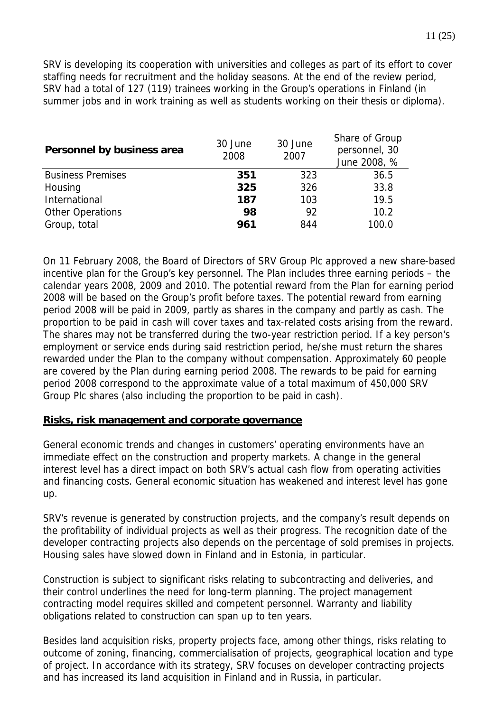SRV is developing its cooperation with universities and colleges as part of its effort to cover staffing needs for recruitment and the holiday seasons. At the end of the review period, SRV had a total of 127 (119) trainees working in the Group's operations in Finland (in summer jobs and in work training as well as students working on their thesis or diploma).

| Personnel by business area | 30 June<br>2008 | 30 June<br>2007 | Share of Group<br>personnel, 30<br>June 2008, % |
|----------------------------|-----------------|-----------------|-------------------------------------------------|
| <b>Business Premises</b>   | 351             | 323             | 36.5                                            |
| Housing                    | 325             | 326             | 33.8                                            |
| International              | 187             | 103             | 19.5                                            |
| <b>Other Operations</b>    | 98              | 92              | 10.2                                            |
| Group, total               | 961             | 844             | 100.0                                           |

On 11 February 2008, the Board of Directors of SRV Group Plc approved a new share-based incentive plan for the Group's key personnel. The Plan includes three earning periods – the calendar years 2008, 2009 and 2010. The potential reward from the Plan for earning period 2008 will be based on the Group's profit before taxes. The potential reward from earning period 2008 will be paid in 2009, partly as shares in the company and partly as cash. The proportion to be paid in cash will cover taxes and tax-related costs arising from the reward. The shares may not be transferred during the two-year restriction period. If a key person's employment or service ends during said restriction period, he/she must return the shares rewarded under the Plan to the company without compensation. Approximately 60 people are covered by the Plan during earning period 2008. The rewards to be paid for earning period 2008 correspond to the approximate value of a total maximum of 450,000 SRV Group Plc shares (also including the proportion to be paid in cash).

#### **Risks, risk management and corporate governance**

General economic trends and changes in customers' operating environments have an immediate effect on the construction and property markets. A change in the general interest level has a direct impact on both SRV's actual cash flow from operating activities and financing costs. General economic situation has weakened and interest level has gone up.

SRV's revenue is generated by construction projects, and the company's result depends on the profitability of individual projects as well as their progress. The recognition date of the developer contracting projects also depends on the percentage of sold premises in projects. Housing sales have slowed down in Finland and in Estonia, in particular.

Construction is subject to significant risks relating to subcontracting and deliveries, and their control underlines the need for long-term planning. The project management contracting model requires skilled and competent personnel. Warranty and liability obligations related to construction can span up to ten years.

Besides land acquisition risks, property projects face, among other things, risks relating to outcome of zoning, financing, commercialisation of projects, geographical location and type of project. In accordance with its strategy, SRV focuses on developer contracting projects and has increased its land acquisition in Finland and in Russia, in particular.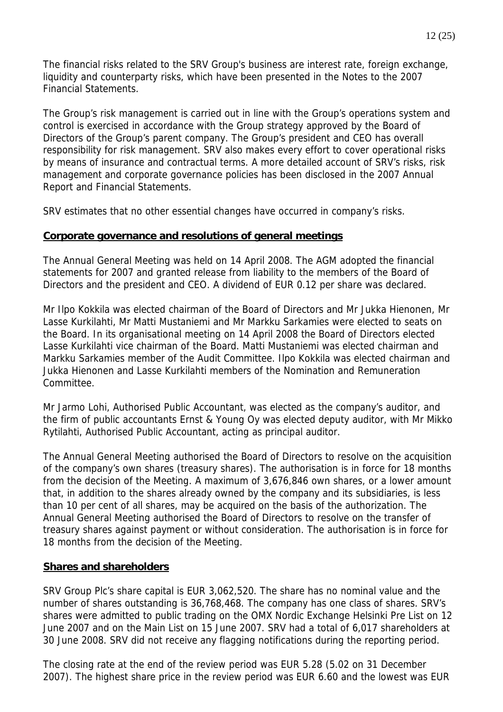The financial risks related to the SRV Group's business are interest rate, foreign exchange, liquidity and counterparty risks, which have been presented in the Notes to the 2007 Financial Statements.

The Group's risk management is carried out in line with the Group's operations system and control is exercised in accordance with the Group strategy approved by the Board of Directors of the Group's parent company. The Group's president and CEO has overall responsibility for risk management. SRV also makes every effort to cover operational risks by means of insurance and contractual terms. A more detailed account of SRV's risks, risk management and corporate governance policies has been disclosed in the 2007 Annual Report and Financial Statements.

SRV estimates that no other essential changes have occurred in company's risks.

#### **Corporate governance and resolutions of general meetings**

The Annual General Meeting was held on 14 April 2008. The AGM adopted the financial statements for 2007 and granted release from liability to the members of the Board of Directors and the president and CEO. A dividend of EUR 0.12 per share was declared.

Mr Ilpo Kokkila was elected chairman of the Board of Directors and Mr Jukka Hienonen, Mr Lasse Kurkilahti, Mr Matti Mustaniemi and Mr Markku Sarkamies were elected to seats on the Board. In its organisational meeting on 14 April 2008 the Board of Directors elected Lasse Kurkilahti vice chairman of the Board. Matti Mustaniemi was elected chairman and Markku Sarkamies member of the Audit Committee. Ilpo Kokkila was elected chairman and Jukka Hienonen and Lasse Kurkilahti members of the Nomination and Remuneration Committee.

Mr Jarmo Lohi, Authorised Public Accountant, was elected as the company's auditor, and the firm of public accountants Ernst & Young Oy was elected deputy auditor, with Mr Mikko Rytilahti, Authorised Public Accountant, acting as principal auditor.

The Annual General Meeting authorised the Board of Directors to resolve on the acquisition of the company's own shares (treasury shares). The authorisation is in force for 18 months from the decision of the Meeting. A maximum of 3,676,846 own shares, or a lower amount that, in addition to the shares already owned by the company and its subsidiaries, is less than 10 per cent of all shares, may be acquired on the basis of the authorization. The Annual General Meeting authorised the Board of Directors to resolve on the transfer of treasury shares against payment or without consideration. The authorisation is in force for 18 months from the decision of the Meeting.

### **Shares and shareholders**

SRV Group Plc's share capital is EUR 3,062,520. The share has no nominal value and the number of shares outstanding is 36,768,468. The company has one class of shares. SRV's shares were admitted to public trading on the OMX Nordic Exchange Helsinki Pre List on 12 June 2007 and on the Main List on 15 June 2007. SRV had a total of 6,017 shareholders at 30 June 2008. SRV did not receive any flagging notifications during the reporting period.

The closing rate at the end of the review period was EUR 5.28 (5.02 on 31 December 2007). The highest share price in the review period was EUR 6.60 and the lowest was EUR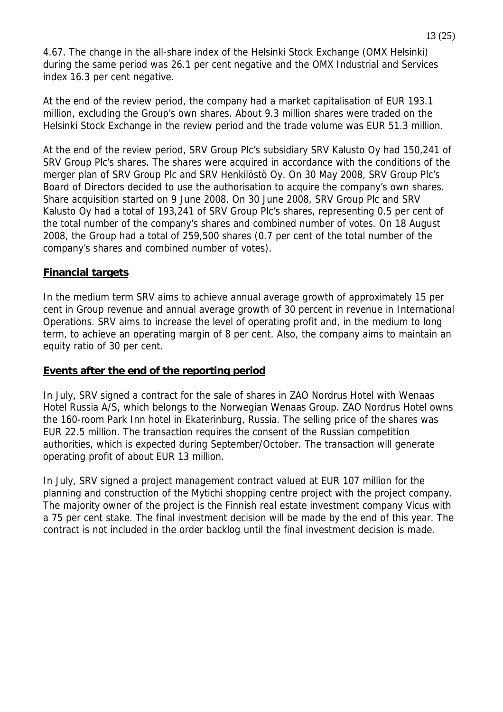4.67. The change in the all-share index of the Helsinki Stock Exchange (OMX Helsinki) during the same period was 26.1 per cent negative and the OMX Industrial and Services index 16.3 per cent negative.

At the end of the review period, the company had a market capitalisation of EUR 193.1 million, excluding the Group's own shares. About 9.3 million shares were traded on the Helsinki Stock Exchange in the review period and the trade volume was EUR 51.3 million.

At the end of the review period, SRV Group Plc's subsidiary SRV Kalusto Oy had 150,241 of SRV Group Plc's shares. The shares were acquired in accordance with the conditions of the merger plan of SRV Group Plc and SRV Henkilöstö Oy. On 30 May 2008, SRV Group Plc's Board of Directors decided to use the authorisation to acquire the company's own shares. Share acquisition started on 9 June 2008. On 30 June 2008, SRV Group Plc and SRV Kalusto Oy had a total of 193,241 of SRV Group Plc's shares, representing 0.5 per cent of the total number of the company's shares and combined number of votes. On 18 August 2008, the Group had a total of 259,500 shares (0.7 per cent of the total number of the company's shares and combined number of votes).

#### **Financial targets**

In the medium term SRV aims to achieve annual average growth of approximately 15 per cent in Group revenue and annual average growth of 30 percent in revenue in International Operations. SRV aims to increase the level of operating profit and, in the medium to long term, to achieve an operating margin of 8 per cent. Also, the company aims to maintain an equity ratio of 30 per cent.

### **Events after the end of the reporting period**

In July, SRV signed a contract for the sale of shares in ZAO Nordrus Hotel with Wenaas Hotel Russia A/S, which belongs to the Norwegian Wenaas Group. ZAO Nordrus Hotel owns the 160-room Park Inn hotel in Ekaterinburg, Russia. The selling price of the shares was EUR 22.5 million. The transaction requires the consent of the Russian competition authorities, which is expected during September/October. The transaction will generate operating profit of about EUR 13 million.

In July, SRV signed a project management contract valued at EUR 107 million for the planning and construction of the Mytichi shopping centre project with the project company. The majority owner of the project is the Finnish real estate investment company Vicus with a 75 per cent stake. The final investment decision will be made by the end of this year. The contract is not included in the order backlog until the final investment decision is made.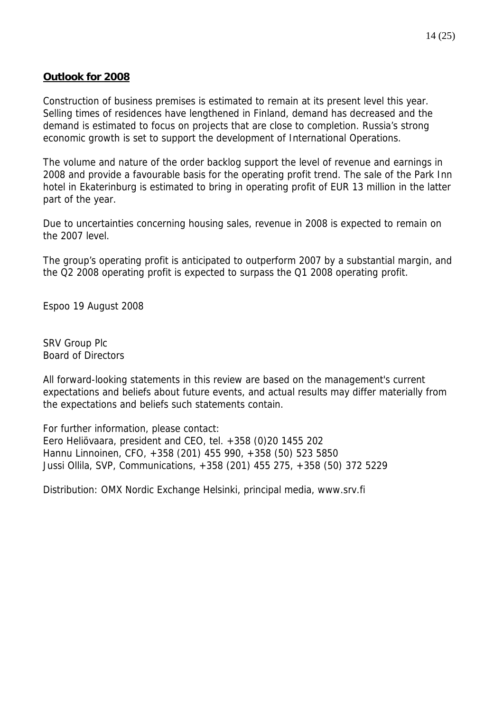### **Outlook for 2008**

Construction of business premises is estimated to remain at its present level this year. Selling times of residences have lengthened in Finland, demand has decreased and the demand is estimated to focus on projects that are close to completion. Russia's strong economic growth is set to support the development of International Operations.

The volume and nature of the order backlog support the level of revenue and earnings in 2008 and provide a favourable basis for the operating profit trend. The sale of the Park Inn hotel in Ekaterinburg is estimated to bring in operating profit of EUR 13 million in the latter part of the year.

Due to uncertainties concerning housing sales, revenue in 2008 is expected to remain on the 2007 level.

The group's operating profit is anticipated to outperform 2007 by a substantial margin, and the Q2 2008 operating profit is expected to surpass the Q1 2008 operating profit.

Espoo 19 August 2008

SRV Group Plc Board of Directors

All forward-looking statements in this review are based on the management's current expectations and beliefs about future events, and actual results may differ materially from the expectations and beliefs such statements contain.

For further information, please contact: Eero Heliövaara, president and CEO, tel. +358 (0)20 1455 202 Hannu Linnoinen, CFO, +358 (201) 455 990, +358 (50) 523 5850 Jussi Ollila, SVP, Communications, +358 (201) 455 275, +358 (50) 372 5229

Distribution: OMX Nordic Exchange Helsinki, principal media, www.srv.fi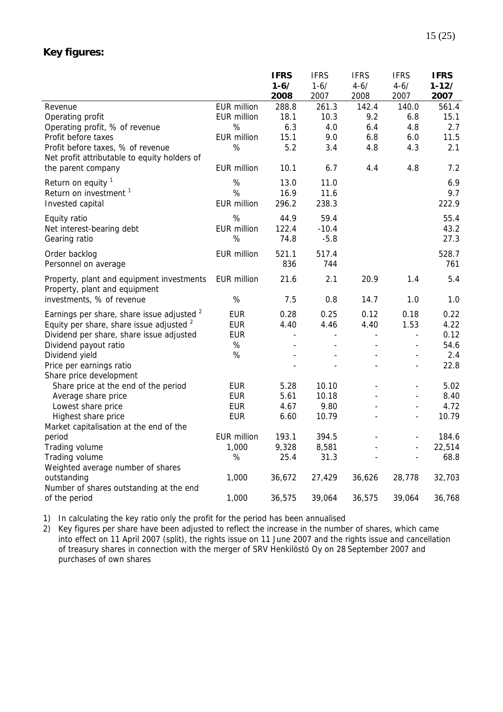## **Key figures:**

|                                                          |                    | <b>IFRS</b>    | <b>IFRS</b>    | <b>IFRS</b>    | <b>IFRS</b>              | <b>IFRS</b> |
|----------------------------------------------------------|--------------------|----------------|----------------|----------------|--------------------------|-------------|
|                                                          |                    | $1 - 6/$       | $1 - 6/$       | $4 - 6/$       | $4 - 6/$                 | $1 - 12/$   |
|                                                          |                    | 2008           | 2007           | 2008           | 2007                     | 2007        |
| Revenue                                                  | <b>EUR million</b> | 288.8          | 261.3          | 142.4          | 140.0                    | 561.4       |
| Operating profit                                         | <b>EUR million</b> | 18.1           | 10.3           | 9.2            | 6.8                      | 15.1        |
| Operating profit, % of revenue                           | $\%$               | 6.3            | 4.0            | 6.4            | 4.8                      | 2.7         |
| Profit before taxes                                      | <b>EUR million</b> | 15.1           | 9.0            | 6.8            | 6.0                      | 11.5        |
| Profit before taxes, % of revenue                        | %                  | 5.2            | 3.4            | 4.8            | 4.3                      | 2.1         |
| Net profit attributable to equity holders of             |                    |                |                |                |                          |             |
| the parent company                                       | <b>EUR million</b> | 10.1           | 6.7            | 4.4            | 4.8                      | 7.2         |
| Return on equity $1$                                     | %                  | 13.0           | 11.0           |                |                          | 6.9         |
| Return on investment <sup>1</sup>                        | %                  | 16.9           | 11.6           |                |                          | 9.7         |
| Invested capital                                         | <b>EUR million</b> | 296.2          | 238.3          |                |                          | 222.9       |
| Equity ratio                                             | %                  | 44.9           | 59.4           |                |                          | 55.4        |
| Net interest-bearing debt                                | <b>EUR</b> million | 122.4          | $-10.4$        |                |                          | 43.2        |
| Gearing ratio                                            | %                  | 74.8           | $-5.8$         |                |                          | 27.3        |
| Order backlog                                            | <b>EUR million</b> | 521.1          | 517.4          |                |                          | 528.7       |
| Personnel on average                                     |                    | 836            | 744            |                |                          | 761         |
| Property, plant and equipment investments                | EUR million        | 21.6           | 2.1            | 20.9           | 1.4                      | 5.4         |
| Property, plant and equipment                            |                    |                |                |                |                          |             |
| investments, % of revenue                                | %                  | 7.5            | 0.8            | 14.7           | 1.0                      | 1.0         |
| Earnings per share, share issue adjusted <sup>2</sup>    | <b>EUR</b>         | 0.28           | 0.25           | 0.12           | 0.18                     | 0.22        |
| Equity per share, share issue adjusted <sup>2</sup>      | <b>EUR</b>         | 4.40           | 4.46           | 4.40           | 1.53                     | 4.22        |
| Dividend per share, share issue adjusted                 | <b>EUR</b>         | $\overline{a}$ | $\overline{a}$ | $\blacksquare$ | $\overline{a}$           | 0.12        |
| Dividend payout ratio                                    | $\%$               |                |                |                |                          | 54.6        |
| Dividend yield                                           | $\%$               |                |                |                |                          | 2.4         |
| Price per earnings ratio                                 |                    |                |                |                | $\overline{\phantom{a}}$ | 22.8        |
| Share price development                                  |                    |                |                |                |                          |             |
| Share price at the end of the period                     | <b>EUR</b>         | 5.28           | 10.10          | $\overline{a}$ |                          | 5.02        |
| Average share price                                      | <b>EUR</b>         | 5.61           | 10.18          |                |                          | 8.40        |
| Lowest share price                                       | <b>EUR</b>         | 4.67           | 9.80           |                | $\overline{\phantom{a}}$ | 4.72        |
| Highest share price                                      | <b>EUR</b>         | 6.60           | 10.79          | $\overline{a}$ | $\overline{a}$           | 10.79       |
| Market capitalisation at the end of the                  |                    |                |                |                |                          |             |
| period                                                   | <b>EUR million</b> | 193.1          | 394.5          |                |                          | 184.6       |
| Trading volume                                           | 1,000              | 9,328          | 8,581          |                | $\overline{a}$           | 22,514      |
| Trading volume                                           | $\%$               | 25.4           | 31.3           |                | $\overline{\phantom{a}}$ | 68.8        |
| Weighted average number of shares                        |                    |                |                |                |                          |             |
| outstanding                                              | 1,000              | 36,672         | 27,429         | 36,626         | 28,778                   | 32,703      |
| Number of shares outstanding at the end<br>of the period | 1,000              | 36,575         | 39,064         | 36,575         | 39,064                   | 36,768      |
|                                                          |                    |                |                |                |                          |             |

1) In calculating the key ratio only the profit for the period has been annualised

2) Key figures per share have been adjusted to reflect the increase in the number of shares, which came into effect on 11 April 2007 (split), the rights issue on 11 June 2007 and the rights issue and cancellation of treasury shares in connection with the merger of SRV Henkilöstö Oy on 28 September 2007 and purchases of own shares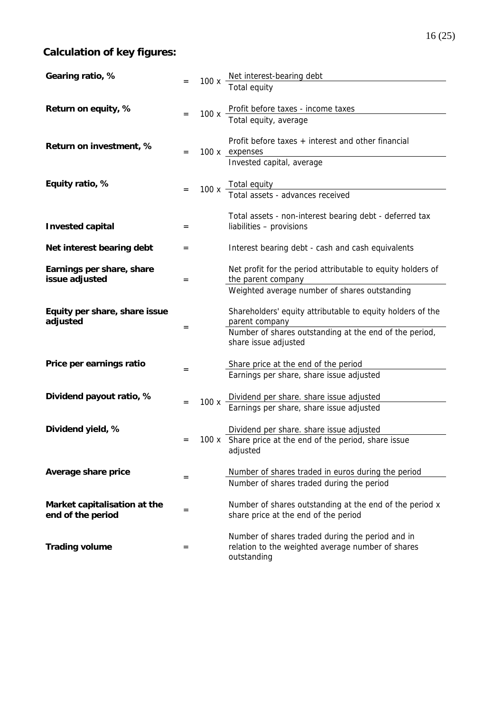# **Calculation of key figures:**

| Gearing ratio, %                                  |     |      |                                                                                                                      |
|---------------------------------------------------|-----|------|----------------------------------------------------------------------------------------------------------------------|
|                                                   |     |      | 100 x Net interest-bearing debt<br>Total equity                                                                      |
| Return on equity, %                               |     | 100x | Profit before taxes - income taxes<br>Total equity, average                                                          |
|                                                   |     |      |                                                                                                                      |
| Return on investment, %                           | $=$ |      | Profit before taxes + interest and other financial<br>100 x expenses                                                 |
|                                                   |     |      | Invested capital, average                                                                                            |
| Equity ratio, %                                   |     |      | 100 x Total equity<br>Total assets - advances received                                                               |
|                                                   |     |      |                                                                                                                      |
| <b>Invested capital</b>                           | $=$ |      | Total assets - non-interest bearing debt - deferred tax<br>liabilities - provisions                                  |
| Net interest bearing debt                         | $=$ |      | Interest bearing debt - cash and cash equivalents                                                                    |
| Earnings per share, share<br>issue adjusted       | $=$ |      | Net profit for the period attributable to equity holders of<br>the parent company                                    |
|                                                   |     |      | Weighted average number of shares outstanding                                                                        |
| Equity per share, share issue<br>adjusted         |     |      | Shareholders' equity attributable to equity holders of the<br>parent company                                         |
|                                                   | $=$ |      | Number of shares outstanding at the end of the period,<br>share issue adjusted                                       |
| Price per earnings ratio                          | =   |      | Share price at the end of the period                                                                                 |
|                                                   |     |      | Earnings per share, share issue adjusted                                                                             |
| Dividend payout ratio, %                          |     |      | Dividend per share. share issue adjusted                                                                             |
|                                                   | $=$ | 100x | Earnings per share, share issue adjusted                                                                             |
| Dividend yield, %                                 |     |      | Dividend per share. share issue adjusted                                                                             |
|                                                   | $=$ |      | 100 x Share price at the end of the period, share issue<br>adjusted                                                  |
| Average share price                               |     |      | Number of shares traded in euros during the period                                                                   |
|                                                   | =   |      | Number of shares traded during the period                                                                            |
| Market capitalisation at the<br>end of the period | =   |      | Number of shares outstanding at the end of the period x<br>share price at the end of the period                      |
| <b>Trading volume</b>                             | =   |      | Number of shares traded during the period and in<br>relation to the weighted average number of shares<br>outstanding |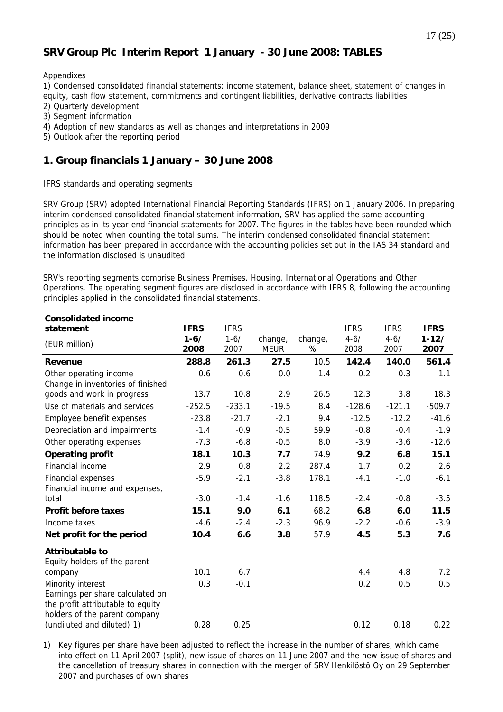### **SRV Group Plc Interim Report 1 January - 30 June 2008: TABLES**

#### Appendixes

1) Condensed consolidated financial statements: income statement, balance sheet, statement of changes in equity, cash flow statement, commitments and contingent liabilities, derivative contracts liabilities

- 2) Quarterly development
- 3) Segment information
- 4) Adoption of new standards as well as changes and interpretations in 2009
- 5) Outlook after the reporting period

#### **1. Group financials 1 January – 30 June 2008**

IFRS standards and operating segments

SRV Group (SRV) adopted International Financial Reporting Standards (IFRS) on 1 January 2006. In preparing interim condensed consolidated financial statement information, SRV has applied the same accounting principles as in its year-end financial statements for 2007. The figures in the tables have been rounded which should be noted when counting the total sums. The interim condensed consolidated financial statement information has been prepared in accordance with the accounting policies set out in the IAS 34 standard and the information disclosed is unaudited.

SRV's reporting segments comprise Business Premises, Housing, International Operations and Other Operations. The operating segment figures are disclosed in accordance with IFRS 8, following the accounting principles applied in the consolidated financial statements.

| <b>Consolidated income</b>        |             |             |         |         |             |             |             |
|-----------------------------------|-------------|-------------|---------|---------|-------------|-------------|-------------|
| statement                         | <b>IFRS</b> | <b>IFRS</b> |         |         | <b>IFRS</b> | <b>IFRS</b> | <b>IFRS</b> |
| (EUR million)                     | $1 - 6/$    | $1 - 6/$    | change, | change, | $4 - 6/$    | $4 - 6/$    | $1 - 12/$   |
|                                   | 2008        | 2007        | MEUR    | %       | 2008        | 2007        | 2007        |
| Revenue                           | 288.8       | 261.3       | 27.5    | 10.5    | 142.4       | 140.0       | 561.4       |
| Other operating income            | 0.6         | 0.6         | 0.0     | 1.4     | 0.2         | 0.3         | 1.1         |
| Change in inventories of finished |             |             |         |         |             |             |             |
| goods and work in progress        | 13.7        | 10.8        | 2.9     | 26.5    | 12.3        | 3.8         | 18.3        |
| Use of materials and services     | $-252.5$    | $-233.1$    | $-19.5$ | 8.4     | $-128.6$    | $-121.1$    | $-509.7$    |
| Employee benefit expenses         | $-23.8$     | $-21.7$     | $-2.1$  | 9.4     | $-12.5$     | $-12.2$     | $-41.6$     |
| Depreciation and impairments      | $-1.4$      | $-0.9$      | $-0.5$  | 59.9    | $-0.8$      | $-0.4$      | $-1.9$      |
| Other operating expenses          | $-7.3$      | $-6.8$      | $-0.5$  | 8.0     | $-3.9$      | $-3.6$      | $-12.6$     |
| <b>Operating profit</b>           | 18.1        | 10.3        | 7.7     | 74.9    | 9.2         | 6.8         | 15.1        |
| Financial income                  | 2.9         | 0.8         | 2.2     | 287.4   | 1.7         | 0.2         | 2.6         |
| <b>Financial expenses</b>         | $-5.9$      | $-2.1$      | $-3.8$  | 178.1   | $-4.1$      | $-1.0$      | $-6.1$      |
| Financial income and expenses,    |             |             |         |         |             |             |             |
| total                             | $-3.0$      | $-1.4$      | $-1.6$  | 118.5   | $-2.4$      | $-0.8$      | $-3.5$      |
| <b>Profit before taxes</b>        | 15.1        | 9.0         | 6.1     | 68.2    | 6.8         | 6.0         | 11.5        |
| Income taxes                      | $-4.6$      | $-2.4$      | $-2.3$  | 96.9    | $-2.2$      | $-0.6$      | $-3.9$      |
| Net profit for the period         | 10.4        | 6.6         | 3.8     | 57.9    | 4.5         | 5.3         | 7.6         |
| <b>Attributable to</b>            |             |             |         |         |             |             |             |
| Equity holders of the parent      |             |             |         |         |             |             |             |
| company                           | 10.1        | 6.7         |         |         | 4.4         | 4.8         | 7.2         |
| Minority interest                 | 0.3         | $-0.1$      |         |         | 0.2         | 0.5         | 0.5         |
| Earnings per share calculated on  |             |             |         |         |             |             |             |
| the profit attributable to equity |             |             |         |         |             |             |             |
| holders of the parent company     |             |             |         |         |             |             |             |
| (undiluted and diluted) 1)        | 0.28        | 0.25        |         |         | 0.12        | 0.18        | 0.22        |

1) Key figures per share have been adjusted to reflect the increase in the number of shares, which came into effect on 11 April 2007 (split), new issue of shares on 11 June 2007 and the new issue of shares and the cancellation of treasury shares in connection with the merger of SRV Henkilöstö Oy on 29 September 2007 and purchases of own shares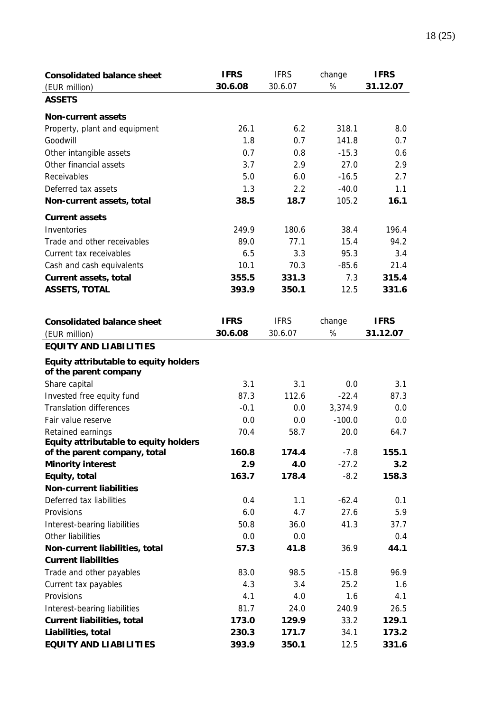| <b>Consolidated balance sheet</b>                              | <b>IFRS</b> | <b>IFRS</b> | change   | <b>IFRS</b> |
|----------------------------------------------------------------|-------------|-------------|----------|-------------|
| (EUR million)                                                  | 30.6.08     | 30.6.07     | %        | 31.12.07    |
| <b>ASSETS</b>                                                  |             |             |          |             |
| <b>Non-current assets</b>                                      |             |             |          |             |
| Property, plant and equipment                                  | 26.1        | 6.2         | 318.1    | 8.0         |
| Goodwill                                                       | 1.8         | 0.7         | 141.8    | 0.7         |
| Other intangible assets                                        | 0.7         | 0.8         | $-15.3$  | 0.6         |
| Other financial assets                                         | 3.7         | 2.9         | 27.0     | 2.9         |
| Receivables                                                    | 5.0         | 6.0         | $-16.5$  | 2.7         |
| Deferred tax assets                                            | 1.3         | 2.2         | $-40.0$  | 1.1         |
| Non-current assets, total                                      | 38.5        | 18.7        | 105.2    | 16.1        |
| <b>Current assets</b>                                          |             |             |          |             |
| Inventories                                                    | 249.9       | 180.6       | 38.4     | 196.4       |
| Trade and other receivables                                    | 89.0        | 77.1        | 15.4     | 94.2        |
| Current tax receivables                                        | 6.5         | 3.3         | 95.3     | 3.4         |
| Cash and cash equivalents                                      | 10.1        | 70.3        | $-85.6$  | 21.4        |
| <b>Current assets, total</b>                                   | 355.5       | 331.3       | 7.3      | 315.4       |
| <b>ASSETS, TOTAL</b>                                           | 393.9       | 350.1       | 12.5     | 331.6       |
|                                                                |             |             |          |             |
|                                                                |             |             |          |             |
| <b>Consolidated balance sheet</b>                              | <b>IFRS</b> | <b>IFRS</b> | change   | <b>IFRS</b> |
| (EUR million)                                                  | 30.6.08     | 30.6.07     | %        | 31.12.07    |
| <b>EQUITY AND LIABILITIES</b>                                  |             |             |          |             |
| Equity attributable to equity holders<br>of the parent company |             |             |          |             |
| Share capital                                                  | 3.1         | 3.1         | 0.0      | 3.1         |
| Invested free equity fund                                      | 87.3        | 112.6       | $-22.4$  | 87.3        |
| <b>Translation differences</b>                                 | $-0.1$      | 0.0         | 3,374.9  | 0.0         |
| Fair value reserve                                             | 0.0         | 0.0         | $-100.0$ | 0.0         |
| Retained earnings                                              | 70.4        | 58.7        | 20.0     | 64.7        |
| Equity attributable to equity holders                          |             |             |          |             |
| of the parent company, total                                   | 160.8       | 174.4       | $-7.8$   | 155.1       |
| <b>Minority interest</b>                                       | 2.9         | 4.0         | $-27.2$  | 3.2         |
| Equity, total                                                  | 163.7       | 178.4       | $-8.2$   | 158.3       |
| <b>Non-current liabilities</b>                                 |             |             |          |             |
| Deferred tax liabilities                                       | 0.4         | 1.1         | $-62.4$  | 0.1         |
| Provisions                                                     | 6.0         | 4.7         | 27.6     | 5.9         |
| Interest-bearing liabilities                                   | 50.8        | 36.0        | 41.3     | 37.7        |
| Other liabilities                                              | 0.0         | 0.0         |          | 0.4         |
| Non-current liabilities, total                                 | 57.3        | 41.8        | 36.9     | 44.1        |
| <b>Current liabilities</b>                                     |             |             |          |             |
| Trade and other payables                                       | 83.0        | 98.5        | $-15.8$  | 96.9        |
| Current tax payables                                           | 4.3         | 3.4         | 25.2     | 1.6         |
| Provisions                                                     | 4.1         | 4.0         | 1.6      | 4.1         |
| Interest-bearing liabilities                                   | 81.7        | 24.0        | 240.9    | 26.5        |
| <b>Current liabilities, total</b>                              | 173.0       | 129.9       | 33.2     | 129.1       |
| Liabilities, total                                             | 230.3       | 171.7       | 34.1     | 173.2       |
| <b>EQUITY AND LIABILITIES</b>                                  | 393.9       | 350.1       | 12.5     | 331.6       |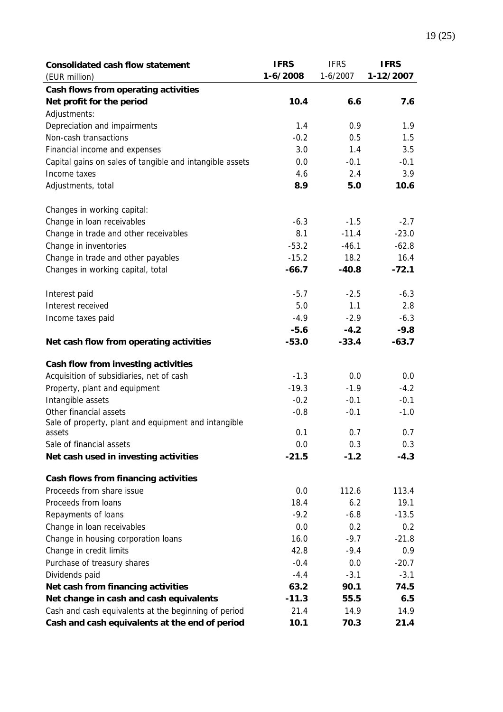| <b>Consolidated cash flow statement</b>                  | <b>IFRS</b> | <b>IFRS</b> | <b>IFRS</b> |
|----------------------------------------------------------|-------------|-------------|-------------|
| (EUR million)                                            | $1-6/2008$  | $1-6/2007$  | 1-12/2007   |
| Cash flows from operating activities                     |             |             |             |
| Net profit for the period                                | 10.4        | 6.6         | 7.6         |
| Adjustments:                                             |             |             |             |
| Depreciation and impairments                             | 1.4         | 0.9         | 1.9         |
| Non-cash transactions                                    | $-0.2$      | 0.5         | 1.5         |
| Financial income and expenses                            | 3.0         | 1.4         | 3.5         |
| Capital gains on sales of tangible and intangible assets | 0.0         | $-0.1$      | $-0.1$      |
| Income taxes                                             | 4.6         | 2.4         | 3.9         |
| Adjustments, total                                       | 8.9         | 5.0         | 10.6        |
| Changes in working capital:                              |             |             |             |
| Change in loan receivables                               | $-6.3$      | $-1.5$      | $-2.7$      |
| Change in trade and other receivables                    | 8.1         | $-11.4$     | $-23.0$     |
| Change in inventories                                    | $-53.2$     | $-46.1$     | $-62.8$     |
| Change in trade and other payables                       | $-15.2$     | 18.2        | 16.4        |
| Changes in working capital, total                        | $-66.7$     | $-40.8$     | $-72.1$     |
| Interest paid                                            | $-5.7$      | $-2.5$      | $-6.3$      |
| Interest received                                        | 5.0         | 1.1         | 2.8         |
| Income taxes paid                                        | $-4.9$      | $-2.9$      | $-6.3$      |
|                                                          | $-5.6$      | $-4.2$      | $-9.8$      |
| Net cash flow from operating activities                  | $-53.0$     | $-33.4$     | $-63.7$     |
| Cash flow from investing activities                      |             |             |             |
| Acquisition of subsidiaries, net of cash                 | $-1.3$      | 0.0         | 0.0         |
| Property, plant and equipment                            | $-19.3$     | $-1.9$      | $-4.2$      |
| Intangible assets                                        | $-0.2$      | $-0.1$      | $-0.1$      |
| Other financial assets                                   | $-0.8$      | $-0.1$      | $-1.0$      |
| Sale of property, plant and equipment and intangible     |             |             |             |
| assets                                                   | 0.1         | 0.7         | 0.7         |
| Sale of financial assets                                 | 0.0         | 0.3         | 0.3         |
| Net cash used in investing activities                    | $-21.5$     | $-1.2$      | $-4.3$      |
| Cash flows from financing activities                     |             |             |             |
| Proceeds from share issue                                | 0.0         | 112.6       | 113.4       |
| Proceeds from loans                                      | 18.4        | 6.2         | 19.1        |
| Repayments of loans                                      | $-9.2$      | $-6.8$      | $-13.5$     |
| Change in loan receivables                               | 0.0         | 0.2         | 0.2         |
| Change in housing corporation loans                      | 16.0        | $-9.7$      | $-21.8$     |
| Change in credit limits                                  | 42.8        | $-9.4$      | 0.9         |
| Purchase of treasury shares                              | $-0.4$      | 0.0         | $-20.7$     |
| Dividends paid                                           | $-4.4$      | $-3.1$      | $-3.1$      |
| Net cash from financing activities                       | 63.2        | 90.1        | 74.5        |
| Net change in cash and cash equivalents                  | $-11.3$     | 55.5        | 6.5         |
| Cash and cash equivalents at the beginning of period     | 21.4        | 14.9        | 14.9        |
| Cash and cash equivalents at the end of period           | 10.1        | 70.3        | 21.4        |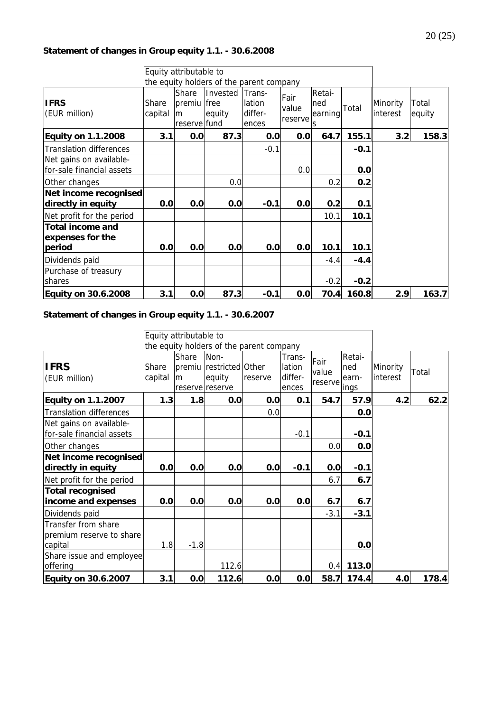#### **Statement of changes in Group equity 1.1. - 30.6.2008**

|                                                       |                  | Equity attributable to               |                                   |                                             |                          |                               |            |                      |                 |
|-------------------------------------------------------|------------------|--------------------------------------|-----------------------------------|---------------------------------------------|--------------------------|-------------------------------|------------|----------------------|-----------------|
|                                                       |                  |                                      |                                   | the equity holders of the parent company    |                          |                               |            |                      |                 |
| <b>IFRS</b><br>(EUR million)                          | Share<br>capital | Share<br>premiu<br>m<br>reserve fund | Invested<br><b>free</b><br>equity | <b>Trans-</b><br>lation<br>differ-<br>ences | Fair<br>value<br>reserve | Retai-<br>ned<br>earning<br>S | Total      | Minority<br>interest | Total<br>equity |
| <b>Equity on 1.1.2008</b>                             | 3.1              | 0.0                                  | 87.3                              | 0.0                                         | 0.0 <sub>l</sub>         | 64.7                          | 155.1      | 3.2                  | 158.3           |
| <b>Translation differences</b>                        |                  |                                      |                                   | $-0.1$                                      |                          |                               | $-0.1$     |                      |                 |
| Net gains on available-<br>for-sale financial assets  |                  |                                      |                                   |                                             | 0.0                      |                               | 0.0        |                      |                 |
| Other changes                                         |                  |                                      | 0.0                               |                                             |                          | 0.2                           | 0.2        |                      |                 |
| Net income recognised<br>directly in equity           | 0.0              | 0.0                                  | 0.0                               | $-0.1$                                      | 0.0                      | 0.2                           | 0.1        |                      |                 |
| Net profit for the period                             |                  |                                      |                                   |                                             |                          | 10.1                          | 10.1       |                      |                 |
| <b>Total income and</b><br>expenses for the<br>period | 0.0              | 0.0                                  | 0.0                               | 0.0                                         | 0.0                      | 10.1                          | 10.1       |                      |                 |
| Dividends paid                                        |                  |                                      |                                   |                                             |                          | $-4.4$                        | $-4.4$     |                      |                 |
| Purchase of treasury<br>shares                        |                  |                                      |                                   |                                             |                          | $-0.2$                        | $-0.2$     |                      |                 |
| <b>Equity on 30.6.2008</b>                            | 3.1              | 0.0                                  | 87.3                              | $-0.1$                                      | 0.0                      |                               | 70.4 160.8 | 2.9                  | 163.7           |

#### **Statement of changes in Group equity 1.1. - 30.6.2007**

|                                                            |                  | Equity attributable to |                                                              |                                          |                                      |                          |                                |                      |       |
|------------------------------------------------------------|------------------|------------------------|--------------------------------------------------------------|------------------------------------------|--------------------------------------|--------------------------|--------------------------------|----------------------|-------|
|                                                            |                  |                        |                                                              | the equity holders of the parent company |                                      |                          |                                |                      |       |
| <b>IFRS</b><br>(EUR million)                               | Share<br>capital | Share<br>lm            | Non-<br>premiu restricted Other<br>equity<br>reserve reserve | reserve                                  | Trans-<br>lation<br>differ-<br>ences | Fair<br>value<br>reserve | Retai-<br>ned<br>earn-<br>ings | Minority<br>interest | Total |
| <b>Equity on 1.1.2007</b>                                  | 1.3              | 1.8                    | 0.0                                                          | 0.0                                      | 0.1                                  | 54.7                     | 57.9                           | 4.2                  | 62.2  |
| <b>Translation differences</b>                             |                  |                        |                                                              | 0.0                                      |                                      |                          | 0.0                            |                      |       |
| Net gains on available-<br>for-sale financial assets       |                  |                        |                                                              |                                          | $-0.1$                               |                          | $-0.1$                         |                      |       |
| Other changes                                              |                  |                        |                                                              |                                          |                                      | 0.0                      | 0.0                            |                      |       |
| Net income recognised<br>directly in equity                | 0.0              | 0.0                    | 0.0                                                          | 0.0                                      | $-0.1$                               | 0.0                      | $-0.1$                         |                      |       |
| Net profit for the period                                  |                  |                        |                                                              |                                          |                                      | 6.7                      | 6.7                            |                      |       |
| <b>Total recognised</b><br>income and expenses             | 0.0              | 0.0                    | 0.0                                                          | 0.0                                      | 0.0                                  | 6.7                      | 6.7                            |                      |       |
| Dividends paid                                             |                  |                        |                                                              |                                          |                                      | $-3.1$                   | $-3.1$                         |                      |       |
| Transfer from share<br>premium reserve to share<br>capital | 1.8              | $-1.8$                 |                                                              |                                          |                                      |                          | 0.0                            |                      |       |
| Share issue and employee<br>offering                       |                  |                        | 112.6                                                        |                                          |                                      | 0.4                      | 113.0                          |                      |       |
| <b>Equity on 30.6.2007</b>                                 | 3.1              | 0.0                    | 112.6                                                        | 0.0                                      | 0.0                                  | 58.7                     | 174.4                          | 4.0                  | 178.4 |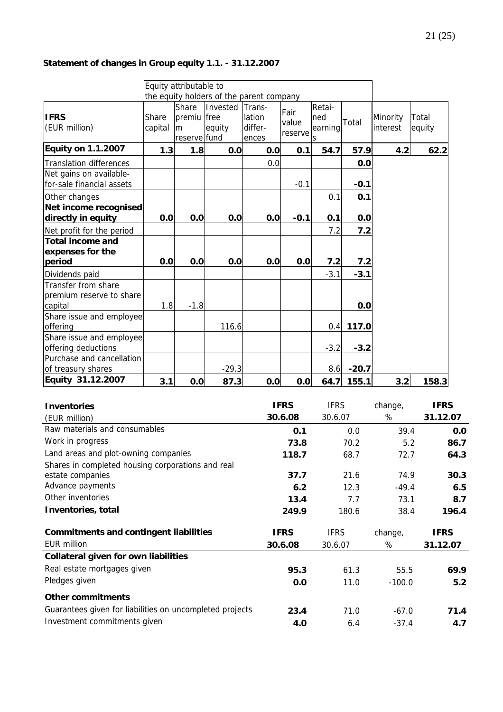### **Statement of changes in Group equity 1.1. - 31.12.2007**

|                                                            |                  | Equity attributable to                     |                    |                                          |                          |                               |         |                      |                 |
|------------------------------------------------------------|------------------|--------------------------------------------|--------------------|------------------------------------------|--------------------------|-------------------------------|---------|----------------------|-----------------|
|                                                            |                  |                                            |                    | the equity holders of the parent company |                          |                               |         |                      |                 |
| <b>IFRS</b><br>(EUR million)                               | Share<br>capital | Share<br>premiu free<br>lm<br>reserve fund | Invested<br>equity | Trans-<br>lation<br>differ-<br>ences     | Fair<br>value<br>reserve | Retai-<br>ned<br>earning<br>S | Total   | Minority<br>interest | Total<br>equity |
| <b>Equity on 1.1.2007</b>                                  | 1.3              | 1.8                                        | 0.0                | 0.0                                      | 0.1                      | 54.7                          | 57.9    | 4.2                  | 62.2            |
| <b>Translation differences</b>                             |                  |                                            |                    | 0.0                                      |                          |                               | 0.0     |                      |                 |
| Net gains on available-<br>for-sale financial assets       |                  |                                            |                    |                                          | $-0.1$                   |                               | $-0.1$  |                      |                 |
| Other changes                                              |                  |                                            |                    |                                          |                          | 0.1                           | 0.1     |                      |                 |
| Net income recognised<br>directly in equity                | 0.0              | 0.0                                        | 0.0                | 0.0                                      | $-0.1$                   | 0.1                           | 0.0     |                      |                 |
| Net profit for the period                                  |                  |                                            |                    |                                          |                          | 7.2                           | 7.2     |                      |                 |
| <b>Total income and</b><br>expenses for the                |                  |                                            |                    |                                          |                          |                               |         |                      |                 |
| period                                                     | 0.0              | 0.0                                        | 0.0                | 0.0                                      | 0.0                      | 7.2                           | 7.2     |                      |                 |
| Dividends paid                                             |                  |                                            |                    |                                          |                          | $-3.1$                        | $-3.1$  |                      |                 |
| Transfer from share<br>premium reserve to share<br>capital | 1.8              | $-1.8$                                     |                    |                                          |                          |                               | 0.0     |                      |                 |
| Share issue and employee<br>offering                       |                  |                                            | 116.6              |                                          |                          | 0.4                           | 117.0   |                      |                 |
| Share issue and employee<br>offering deductions            |                  |                                            |                    |                                          |                          | $-3.2$                        | $-3.2$  |                      |                 |
| Purchase and cancellation<br>of treasury shares            |                  |                                            | $-29.3$            |                                          |                          | 8.6                           | $-20.7$ |                      |                 |
| Equity 31.12.2007                                          | 3.1              | 0.0                                        | 87.3               | 0.0                                      | 0.0                      | 64.7                          | 155.1   | 3.2                  | 158.3           |

| <b>Inventories</b>                                       | <b>IFRS</b> | <b>IFRS</b> | change,  | <b>IFRS</b> |
|----------------------------------------------------------|-------------|-------------|----------|-------------|
| (EUR million)                                            | 30.6.08     | 30.6.07     | %        | 31.12.07    |
| Raw materials and consumables                            | 0.1         | 0.0         | 39.4     | 0.0         |
| Work in progress                                         | 73.8        | 70.2        | 5.2      | 86.7        |
| Land areas and plot-owning companies                     | 118.7       | 68.7        | 72.7     | 64.3        |
| Shares in completed housing corporations and real        |             |             |          |             |
| estate companies                                         | 37.7        | 21.6        | 74.9     | 30.3        |
| Advance payments                                         | 6.2         | 12.3        | $-49.4$  | 6.5         |
| Other inventories                                        | 13.4        | 7.7         | 73.1     | 8.7         |
| Inventories, total                                       | 249.9       | 180.6       | 38.4     | 196.4       |
| <b>Commitments and contingent liabilities</b>            | <b>IFRS</b> | <b>IFRS</b> | change,  | <b>IFRS</b> |
| <b>EUR million</b>                                       | 30.6.08     | 30.6.07     | %        | 31.12.07    |
| <b>Collateral given for own liabilities</b>              |             |             |          |             |
| Real estate mortgages given                              | 95.3        | 61.3        | 55.5     | 69.9        |
| Pledges given                                            | 0.0         | 11.0        | $-100.0$ | 5.2         |
| <b>Other commitments</b>                                 |             |             |          |             |
| Guarantees given for liabilities on uncompleted projects | 23.4        | 71.0        | $-67.0$  | 71.4        |
| Investment commitments given                             | 4.0         | 6.4         | $-37.4$  | 4.7         |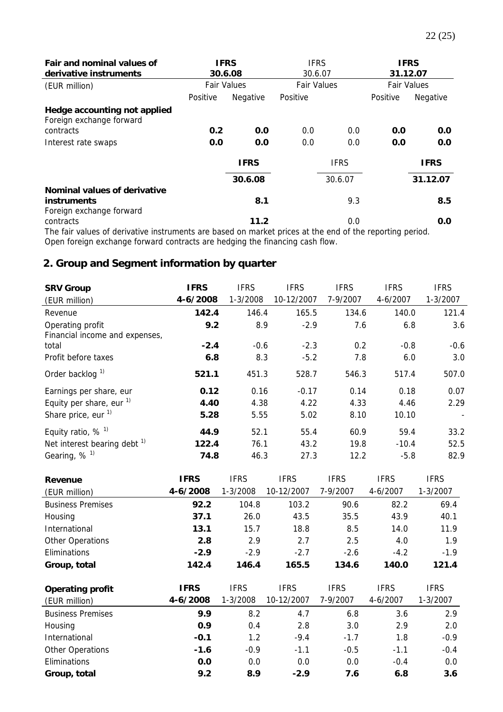| Fair and nominal values of<br>derivative instruments                                                    | <b>IFRS</b><br><b>IFRS</b><br>30.6.07<br>30.6.08 |             | <b>IFRS</b><br>31.12.07 |             |                    |             |
|---------------------------------------------------------------------------------------------------------|--------------------------------------------------|-------------|-------------------------|-------------|--------------------|-------------|
| (EUR million)                                                                                           | <b>Fair Values</b>                               |             | <b>Fair Values</b>      |             | <b>Fair Values</b> |             |
|                                                                                                         | Positive                                         | Negative    | Positive                |             | Positive           | Negative    |
| Hedge accounting not applied<br>Foreign exchange forward                                                |                                                  |             |                         |             |                    |             |
| contracts                                                                                               | 0.2                                              | 0.0         | 0.0                     | 0.0         | 0.0                | 0.0         |
| Interest rate swaps                                                                                     | 0.0                                              | 0.0         | 0.0                     | 0.0         | 0.0                | 0.0         |
|                                                                                                         |                                                  | <b>IFRS</b> |                         | <b>IFRS</b> |                    | <b>IFRS</b> |
|                                                                                                         |                                                  | 30.6.08     |                         | 30.6.07     |                    | 31.12.07    |
| Nominal values of derivative                                                                            |                                                  |             |                         |             |                    |             |
| <b>instruments</b>                                                                                      |                                                  | 8.1         |                         | 9.3         |                    | 8.5         |
| Foreign exchange forward                                                                                |                                                  |             |                         |             |                    |             |
| contracts                                                                                               |                                                  | 11.2        |                         | 0.0         |                    | 0.0         |
| The fair values of derivative instruments are based on market prices at the end of the reporting period |                                                  |             |                         |             |                    |             |

The fair values of derivative instruments are based on market prices at the end of the reporting period. Open foreign exchange forward contracts are hedging the financing cash flow.

# **2. Group and Segment information by quarter**

| <b>SRV Group</b>                                   | <b>IFRS</b> | <b>IFRS</b> | <b>IFRS</b> | <b>IFRS</b> | <b>IFRS</b> | <b>IFRS</b> |
|----------------------------------------------------|-------------|-------------|-------------|-------------|-------------|-------------|
| (EUR million)                                      | 4-6/2008    | 1-3/2008    | 10-12/2007  | 7-9/2007    | 4-6/2007    | 1-3/2007    |
| Revenue                                            | 142.4       | 146.4       | 165.5       | 134.6       | 140.0       | 121.4       |
| Operating profit<br>Financial income and expenses, | 9.2         | 8.9         | $-2.9$      | 7.6         | 6.8         | 3.6         |
| total                                              | $-2.4$      | $-0.6$      | $-2.3$      | 0.2         | $-0.8$      | $-0.6$      |
| Profit before taxes                                | 6.8         | 8.3         | $-5.2$      | 7.8         | 6.0         | 3.0         |
| Order backlog <sup>1)</sup>                        | 521.1       | 451.3       | 528.7       | 546.3       | 517.4       | 507.0       |
| Earnings per share, eur                            | 0.12        | 0.16        | $-0.17$     | 0.14        | 0.18        | 0.07        |
| Equity per share, eur $1$                          | 4.40        | 4.38        | 4.22        | 4.33        | 4.46        | 2.29        |
| Share price, eur $1$                               | 5.28        | 5.55        | 5.02        | 8.10        | 10.10       |             |
| Equity ratio, $%$ <sup>1)</sup>                    | 44.9        | 52.1        | 55.4        | 60.9        | 59.4        | 33.2        |
| Net interest bearing debt $1$                      | 122.4       | 76.1        | 43.2        | 19.8        | $-10.4$     | 52.5        |
| Gearing, $%$ <sup>1)</sup>                         | 74.8        | 46.3        | 27.3        | 12.2        | $-5.8$      | 82.9        |

| Revenue                  | <b>IFRS</b> | <b>IFRS</b> | <b>IFRS</b> | <b>IFRS</b> | <b>IFRS</b> | <b>IFRS</b> |
|--------------------------|-------------|-------------|-------------|-------------|-------------|-------------|
| (EUR million)            | 4-6/2008    | 1-3/2008    | 10-12/2007  | 7-9/2007    | 4-6/2007    | 1-3/2007    |
| <b>Business Premises</b> | 92.2        | 104.8       | 103.2       | 90.6        | 82.2        | 69.4        |
| Housing                  | 37.1        | 26.0        | 43.5        | 35.5        | 43.9        | 40.1        |
| International            | 13.1        | 15.7        | 18.8        | 8.5         | 14.0        | 11.9        |
| Other Operations         | 2.8         | 2.9         | 2.7         | 2.5         | 4.0         | 1.9         |
| Eliminations             | $-2.9$      | $-2.9$      | $-2.7$      | $-2.6$      | $-4.2$      | $-1.9$      |
| Group, total             | 142.4       | 146.4       | 165.5       | 134.6       | 140.0       | 121.4       |
|                          |             |             |             |             |             |             |
|                          |             |             |             |             |             |             |
| <b>Operating profit</b>  | <b>IFRS</b> | <b>IFRS</b> | <b>IFRS</b> | <b>IFRS</b> | <b>IFRS</b> | <b>IFRS</b> |
| (EUR million)            | 4-6/2008    | 1-3/2008    | 10-12/2007  | 7-9/2007    | 4-6/2007    | 1-3/2007    |
| <b>Business Premises</b> | 9.9         | 8.2         | 4.7         | 6.8         | 3.6         | 2.9         |
| Housing                  | 0.9         | 0.4         | 2.8         | 3.0         | 2.9         | 2.0         |
| International            | $-0.1$      | 1.2         | $-9.4$      | $-1.7$      | 1.8         | $-0.9$      |
| Other Operations         | $-1.6$      | $-0.9$      | $-1.1$      | $-0.5$      | $-1.1$      | $-0.4$      |
| Eliminations             | 0.0         | 0.0         | 0.0         | 0.0         | $-0.4$      | 0.0         |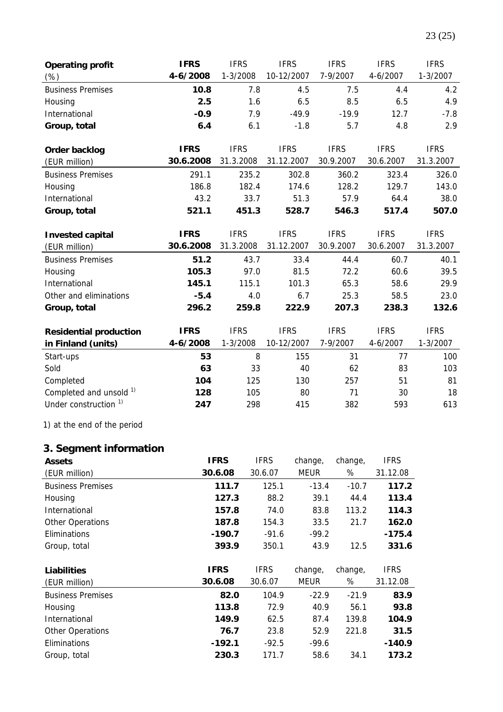| <b>Operating profit</b><br>(%)           | <b>IFRS</b><br>4-6/2008  | <b>IFRS</b><br>$1 - 3/2008$ | <b>IFRS</b><br>10-12/2007 | <b>IFRS</b><br>7-9/2007  | <b>IFRS</b><br>4-6/2007  | <b>IFRS</b><br>1-3/2007  |
|------------------------------------------|--------------------------|-----------------------------|---------------------------|--------------------------|--------------------------|--------------------------|
| <b>Business Premises</b>                 | 10.8                     | 7.8                         | 4.5                       | 7.5                      | 4.4                      | 4.2                      |
| Housing                                  | 2.5                      | 1.6                         | 6.5                       | 8.5                      | 6.5                      | 4.9                      |
| International                            | $-0.9$                   | 7.9                         | $-49.9$                   | $-19.9$                  | 12.7                     | $-7.8$                   |
| Group, total                             | 6.4                      | 6.1                         | $-1.8$                    | 5.7                      | 4.8                      | 2.9                      |
|                                          |                          |                             |                           |                          |                          |                          |
| Order backlog                            | <b>IFRS</b>              | <b>IFRS</b>                 | <b>IFRS</b>               | <b>IFRS</b>              | <b>IFRS</b>              | <b>IFRS</b>              |
| (EUR million)                            | 30.6.2008                | 31.3.2008                   | 31.12.2007                | 30.9.2007                | 30.6.2007                | 31.3.2007                |
| <b>Business Premises</b>                 | 291.1                    | 235.2                       | 302.8                     | 360.2                    | 323.4                    | 326.0                    |
| Housing                                  | 186.8                    | 182.4                       | 174.6                     | 128.2                    | 129.7                    | 143.0                    |
| International                            | 43.2                     | 33.7                        | 51.3                      | 57.9                     | 64.4                     | 38.0                     |
| Group, total                             | 521.1                    | 451.3                       | 528.7                     | 546.3                    | 517.4                    | 507.0                    |
| <b>Invested capital</b><br>(EUR million) | <b>IFRS</b><br>30.6.2008 | <b>IFRS</b><br>31.3.2008    | <b>IFRS</b><br>31.12.2007 | <b>IFRS</b><br>30.9.2007 | <b>IFRS</b><br>30.6.2007 | <b>IFRS</b><br>31.3.2007 |
| <b>Business Premises</b>                 | 51.2                     | 43.7                        | 33.4                      | 44.4                     | 60.7                     | 40.1                     |
| Housing                                  | 105.3                    | 97.0                        | 81.5                      | 72.2                     | 60.6                     | 39.5                     |
| International                            | 145.1                    | 115.1                       | 101.3                     | 65.3                     | 58.6                     | 29.9                     |
| Other and eliminations                   | $-5.4$                   | 4.0                         | 6.7                       | 25.3                     | 58.5                     | 23.0                     |
| Group, total                             | 296.2                    | 259.8                       | 222.9                     | 207.3                    | 238.3                    | 132.6                    |
|                                          |                          |                             |                           |                          |                          |                          |
| <b>Residential production</b>            | <b>IFRS</b>              | <b>IFRS</b>                 | <b>IFRS</b>               | <b>IFRS</b>              | <b>IFRS</b>              | <b>IFRS</b>              |
| in Finland (units)                       | 4-6/2008                 | 1-3/2008                    | 10-12/2007                | 7-9/2007                 | 4-6/2007                 | $1 - 3/2007$             |
| Start-ups                                | 53                       | 8                           | 155                       | 31                       | 77                       | 100                      |
| Sold                                     | 63                       | 33                          | 40                        | 62                       | 83                       | 103                      |
| Completed                                | 104                      | 125                         | 130                       | 257                      | 51                       | 81                       |
| Completed and unsold 1)                  | 128                      | 105                         | 80                        | 71                       | 30                       | 18                       |
| Under construction <sup>1)</sup>         | 247                      | 298                         | 415                       | 382                      | 593                      | 613                      |

1) at the end of the period

# **3. Segment information**

| <b>Assets</b>            | <b>IFRS</b> | <b>IFRS</b> | change, | change, | <b>IFRS</b> |
|--------------------------|-------------|-------------|---------|---------|-------------|
| (EUR million)            | 30.6.08     | 30.6.07     | MEUR    | %       | 31.12.08    |
| <b>Business Premises</b> | 111.7       | 125.1       | $-13.4$ | $-10.7$ | 117.2       |
| Housing                  | 127.3       | 88.2        | 39.1    | 44.4    | 113.4       |
| International            | 157.8       | 74.0        | 83.8    | 113.2   | 114.3       |
| Other Operations         | 187.8       | 154.3       | 33.5    | 21.7    | 162.0       |
| Eliminations             | $-190.7$    | $-91.6$     | $-99.2$ |         | $-175.4$    |
| Group, total             | 393.9       | 350.1       | 43.9    | 12.5    | 331.6       |
|                          |             |             |         |         |             |
| <b>Liabilities</b>       | <b>IFRS</b> | <b>IFRS</b> | change, | change, | <b>IFRS</b> |
| (EUR million)            | 30.6.08     | 30.6.07     | MEUR    | %       | 31.12.08    |
| <b>Business Premises</b> | 82.0        | 104.9       | $-22.9$ | $-21.9$ | 83.9        |
| Housing                  | 113.8       | 72.9        | 40.9    | 56.1    | 93.8        |
|                          |             |             |         |         |             |
| International            | 149.9       | 62.5        | 87.4    | 139.8   | 104.9       |
| Other Operations         | 76.7        | 23.8        | 52.9    | 221.8   | 31.5        |
| Eliminations             | $-192.1$    | $-92.5$     | $-99.6$ |         | $-140.9$    |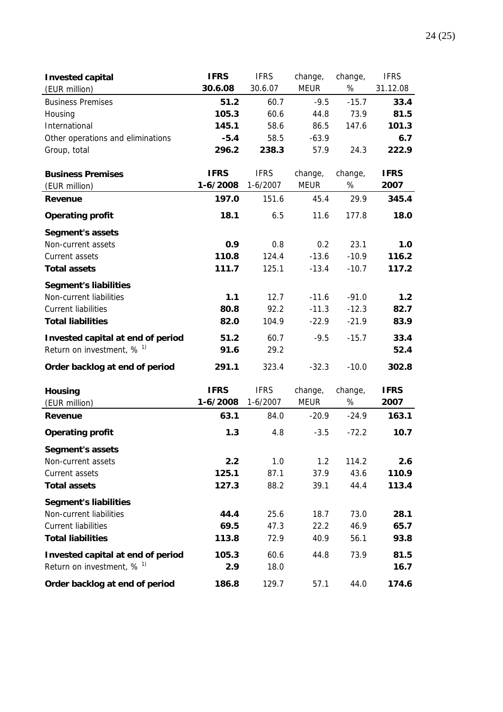| <b>Invested capital</b>                 | <b>IFRS</b> | <b>IFRS</b> | change,     | change, | <b>IFRS</b> |
|-----------------------------------------|-------------|-------------|-------------|---------|-------------|
| (EUR million)                           | 30.6.08     | 30.6.07     | <b>MEUR</b> | $\%$    | 31.12.08    |
| <b>Business Premises</b>                | 51.2        | 60.7        | $-9.5$      | $-15.7$ | 33.4        |
| Housing                                 | 105.3       | 60.6        | 44.8        | 73.9    | 81.5        |
| International                           | 145.1       | 58.6        | 86.5        | 147.6   | 101.3       |
| Other operations and eliminations       | $-5.4$      | 58.5        | $-63.9$     |         | 6.7         |
| Group, total                            | 296.2       | 238.3       | 57.9        | 24.3    | 222.9       |
|                                         |             |             |             |         |             |
| <b>Business Premises</b>                | <b>IFRS</b> | <b>IFRS</b> | change,     | change, | <b>IFRS</b> |
| (EUR million)                           | 1-6/2008    | $1-6/2007$  | <b>MEUR</b> | %       | 2007        |
| Revenue                                 | 197.0       | 151.6       | 45.4        | 29.9    | 345.4       |
| <b>Operating profit</b>                 | 18.1        | 6.5         | 11.6        | 177.8   | 18.0        |
| <b>Segment's assets</b>                 |             |             |             |         |             |
| Non-current assets                      | 0.9         | 0.8         | 0.2         | 23.1    | 1.0         |
| Current assets                          | 110.8       | 124.4       | $-13.6$     | $-10.9$ | 116.2       |
| <b>Total assets</b>                     | 111.7       | 125.1       | $-13.4$     | $-10.7$ | 117.2       |
| <b>Segment's liabilities</b>            |             |             |             |         |             |
| Non-current liabilities                 | 1.1         | 12.7        | $-11.6$     | $-91.0$ | 1.2         |
| <b>Current liabilities</b>              | 80.8        | 92.2        | $-11.3$     | $-12.3$ | 82.7        |
| <b>Total liabilities</b>                | 82.0        | 104.9       | $-22.9$     | $-21.9$ | 83.9        |
| Invested capital at end of period       | 51.2        | 60.7        | $-9.5$      | $-15.7$ | 33.4        |
| Return on investment, $%$ <sup>1)</sup> | 91.6        | 29.2        |             |         | 52.4        |
| Order backlog at end of period          | 291.1       | 323.4       | $-32.3$     | $-10.0$ | 302.8       |
| <b>Housing</b>                          | <b>IFRS</b> | <b>IFRS</b> | change,     | change, | <b>IFRS</b> |
| (EUR million)                           | $1-6/2008$  | $1-6/2007$  | <b>MEUR</b> | $\%$    | 2007        |
| Revenue                                 | 63.1        | 84.0        | $-20.9$     | $-24.9$ | 163.1       |
| <b>Operating profit</b>                 | 1.3         | 4.8         | $-3.5$      | $-72.2$ | 10.7        |
| <b>Segment's assets</b>                 |             |             |             |         |             |
| Non-current assets                      | 2.2         | 1.0         | 1.2         | 114.2   | 2.6         |
| Current assets                          | 125.1       | 87.1        | 37.9        | 43.6    | 110.9       |
| <b>Total assets</b>                     | 127.3       | 88.2        | 39.1        | 44.4    | 113.4       |
| <b>Segment's liabilities</b>            |             |             |             |         |             |
| Non-current liabilities                 | 44.4        | 25.6        | 18.7        | 73.0    | 28.1        |
| <b>Current liabilities</b>              | 69.5        | 47.3        | 22.2        | 46.9    | 65.7        |
| <b>Total liabilities</b>                | 113.8       | 72.9        | 40.9        | 56.1    | 93.8        |
| Invested capital at end of period       | 105.3       | 60.6        | 44.8        | 73.9    | 81.5        |
| Return on investment, $%$ <sup>1)</sup> | 2.9         | 18.0        |             |         | 16.7        |
| Order backlog at end of period          | 186.8       | 129.7       | 57.1        | 44.0    | 174.6       |